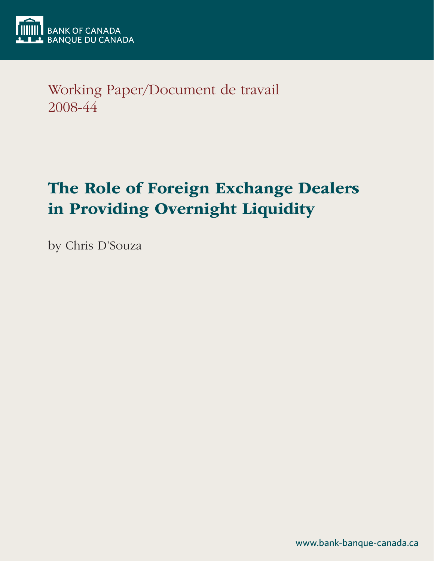

Working Paper/Document de travail 2008-44

# The Role of Foreign Exchange Dealers in Providing Overnight Liquidity

by Chris D'Souza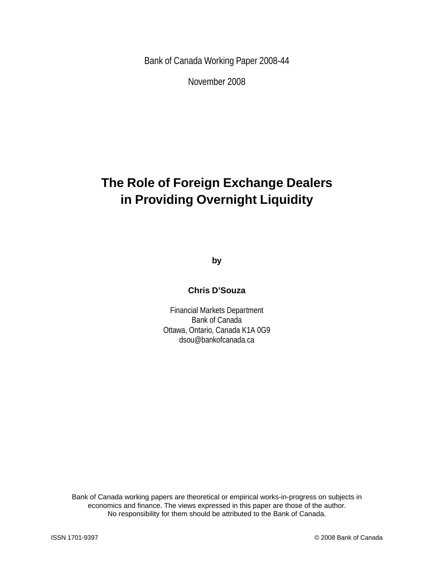Bank of Canada Working Paper 2008-44

November 2008

## **The Role of Foreign Exchange Dealers in Providing Overnight Liquidity**

**by**

### **Chris D'Souza**

Financial Markets Department Bank of Canada Ottawa, Ontario, Canada K1A 0G9 dsou@bankofcanada.ca

Bank of Canada working papers are theoretical or empirical works-in-progress on subjects in economics and finance. The views expressed in this paper are those of the author. No responsibility for them should be attributed to the Bank of Canada.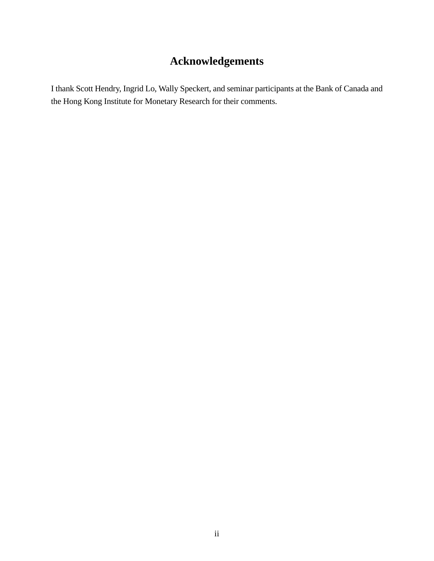## **Acknowledgements**

I thank Scott Hendry, Ingrid Lo, Wally Speckert, and seminar participants at the Bank of Canada and the Hong Kong Institute for Monetary Research for their comments.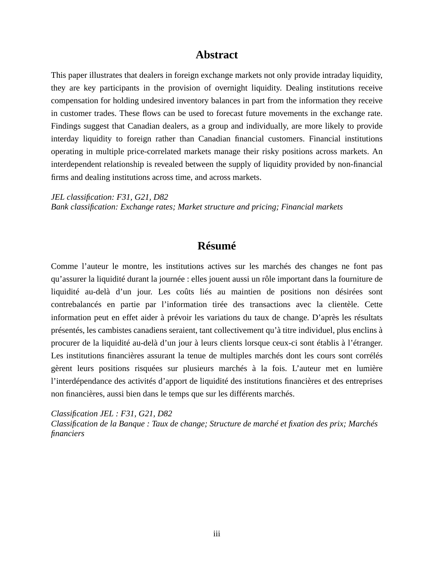### **Abstract**

This paper illustrates that dealers in foreign exchange markets not only provide intraday liquidity, they are key participants in the provision of overnight liquidity. Dealing institutions receive compensation for holding undesired inventory balances in part from the information they receive in customer trades. These flows can be used to forecast future movements in the exchange rate. Findings suggest that Canadian dealers, as a group and individually, are more likely to provide interday liquidity to foreign rather than Canadian financial customers. Financial institutions operating in multiple price-correlated markets manage their risky positions across markets. An interdependent relationship is revealed between the supply of liquidity provided by non-financial firms and dealing institutions across time, and across markets.

*JEL classification: F31, G21, D82 Bank classification: Exchange rates; Market structure and pricing; Financial markets*

### **Résumé**

Comme l'auteur le montre, les institutions actives sur les marchés des changes ne font pas qu'assurer la liquidité durant la journée : elles jouent aussi un rôle important dans la fourniture de liquidité au-delà d'un jour. Les coûts liés au maintien de positions non désirées sont contrebalancés en partie par l'information tirée des transactions avec la clientèle. Cette information peut en effet aider à prévoir les variations du taux de change. D'après les résultats présentés, les cambistes canadiens seraient, tant collectivement qu'à titre individuel, plus enclins à procurer de la liquidité au-delà d'un jour à leurs clients lorsque ceux-ci sont établis à l'étranger. Les institutions financières assurant la tenue de multiples marchés dont les cours sont corrélés gèrent leurs positions risquées sur plusieurs marchés à la fois. L'auteur met en lumière l'interdépendance des activités d'apport de liquidité des institutions financières et des entreprises non financières, aussi bien dans le temps que sur les différents marchés.

*Classification JEL : F31, G21, D82*

*Classification de la Banque : Taux de change; Structure de marché et fixation des prix; Marchés financiers*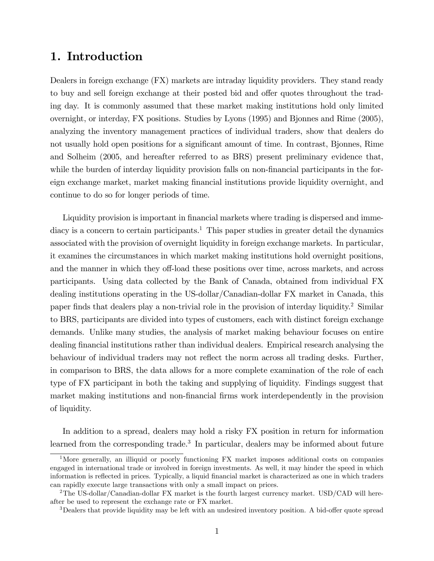### 1. Introduction

Dealers in foreign exchange (FX) markets are intraday liquidity providers. They stand ready to buy and sell foreign exchange at their posted bid and offer quotes throughout the trading day. It is commonly assumed that these market making institutions hold only limited overnight, or interday, FX positions. Studies by Lyons (1995) and Bjonnes and Rime (2005), analyzing the inventory management practices of individual traders, show that dealers do not usually hold open positions for a significant amount of time. In contrast, Bjonnes, Rime and Solheim (2005, and hereafter referred to as BRS) present preliminary evidence that, while the burden of interday liquidity provision falls on non-financial participants in the foreign exchange market, market making financial institutions provide liquidity overnight, and continue to do so for longer periods of time.

Liquidity provision is important in financial markets where trading is dispersed and immediacy is a concern to certain participants.<sup>1</sup> This paper studies in greater detail the dynamics associated with the provision of overnight liquidity in foreign exchange markets. In particular, it examines the circumstances in which market making institutions hold overnight positions, and the manner in which they off-load these positions over time, across markets, and across participants. Using data collected by the Bank of Canada, obtained from individual FX dealing institutions operating in the US-dollar/Canadian-dollar FX market in Canada, this paper finds that dealers play a non-trivial role in the provision of interday liquidity.<sup>2</sup> Similar to BRS, participants are divided into types of customers, each with distinct foreign exchange demands. Unlike many studies, the analysis of market making behaviour focuses on entire dealing financial institutions rather than individual dealers. Empirical research analysing the behaviour of individual traders may not reflect the norm across all trading desks. Further, in comparison to BRS, the data allows for a more complete examination of the role of each type of FX participant in both the taking and supplying of liquidity. Findings suggest that market making institutions and non-financial firms work interdependently in the provision of liquidity.

In addition to a spread, dealers may hold a risky FX position in return for information learned from the corresponding trade.<sup>3</sup> In particular, dealers may be informed about future

<sup>&</sup>lt;sup>1</sup>More generally, an illiquid or poorly functioning FX market imposes additional costs on companies engaged in international trade or involved in foreign investments. As well, it may hinder the speed in which information is reflected in prices. Typically, a liquid financial market is characterized as one in which traders can rapidly execute large transactions with only a small impact on prices.

<sup>&</sup>lt;sup>2</sup>The US-dollar/Canadian-dollar FX market is the fourth largest currency market. USD/CAD will hereafter be used to represent the exchange rate or FX market.

<sup>&</sup>lt;sup>3</sup>Dealers that provide liquidity may be left with an undesired inventory position. A bid-offer quote spread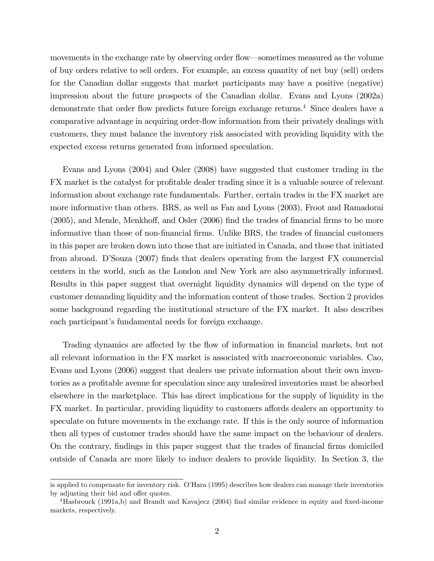movements in the exchange rate by observing order flow—sometimes measured as the volume of buy orders relative to sell orders. For example, an excess quantity of net buy (sell) orders for the Canadian dollar suggests that market participants may have a positive (negative) impression about the future prospects of the Canadian dollar. Evans and Lyons (2002a) demonstrate that order flow predicts future foreign exchange returns.<sup>4</sup> Since dealers have a comparative advantage in acquiring order-flow information from their privately dealings with customers, they must balance the inventory risk associated with providing liquidity with the expected excess returns generated from informed speculation.

Evans and Lyons (2004) and Osler (2008) have suggested that customer trading in the FX market is the catalyst for profitable dealer trading since it is a valuable source of relevant information about exchange rate fundamentals. Further, certain trades in the FX market are more informative than others. BRS, as well as Fan and Lyons (2003), Froot and Ramadorai  $(2005)$ , and Mende, Menkhoff, and Osler  $(2006)$  find the trades of financial firms to be more informative than those of non-financial firms. Unlike BRS, the trades of financial customers in this paper are broken down into those that are initiated in Canada, and those that initiated from abroad. DíSouza (2007) Önds that dealers operating from the largest FX commercial centers in the world, such as the London and New York are also asymmetrically informed. Results in this paper suggest that overnight liquidity dynamics will depend on the type of customer demanding liquidity and the information content of those trades. Section 2 provides some background regarding the institutional structure of the FX market. It also describes each participant's fundamental needs for foreign exchange.

Trading dynamics are affected by the flow of information in financial markets, but not all relevant information in the FX market is associated with macroeconomic variables. Cao, Evans and Lyons (2006) suggest that dealers use private information about their own inventories as a proÖtable avenue for speculation since any undesired inventories must be absorbed elsewhere in the marketplace. This has direct implications for the supply of liquidity in the FX market. In particular, providing liquidity to customers affords dealers an opportunity to speculate on future movements in the exchange rate. If this is the only source of information then all types of customer trades should have the same impact on the behaviour of dealers. On the contrary, findings in this paper suggest that the trades of financial firms domiciled outside of Canada are more likely to induce dealers to provide liquidity. In Section 3, the

is applied to compensate for inventory risk. O'Hara (1995) describes how dealers can manage their inventories by adjusting their bid and offer quotes.

 $4$ Hasbrouck (1991a,b) and Brandt and Kavajecz (2004) find similar evidence in equity and fixed-income markets, respectively.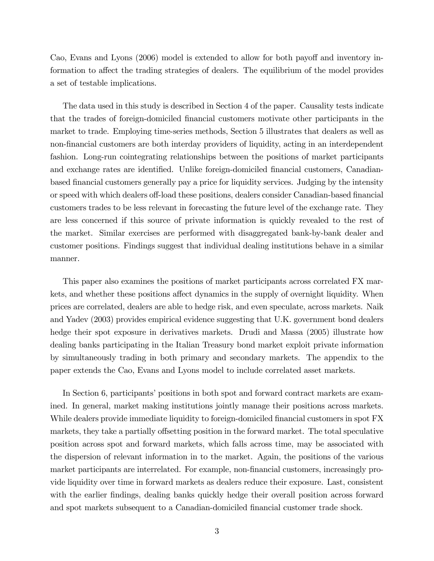Cao, Evans and Lyons (2006) model is extended to allow for both payoff and inventory information to affect the trading strategies of dealers. The equilibrium of the model provides a set of testable implications.

The data used in this study is described in Section 4 of the paper. Causality tests indicate that the trades of foreign-domiciled Önancial customers motivate other participants in the market to trade. Employing time-series methods, Section 5 illustrates that dealers as well as non-financial customers are both interday providers of liquidity, acting in an interdependent fashion. Long-run cointegrating relationships between the positions of market participants and exchange rates are identified. Unlike foreign-domiciled financial customers, Canadianbased Önancial customers generally pay a price for liquidity services. Judging by the intensity or speed with which dealers off-load these positions, dealers consider Canadian-based financial customers trades to be less relevant in forecasting the future level of the exchange rate. They are less concerned if this source of private information is quickly revealed to the rest of the market. Similar exercises are performed with disaggregated bank-by-bank dealer and customer positions. Findings suggest that individual dealing institutions behave in a similar manner.

This paper also examines the positions of market participants across correlated FX markets, and whether these positions affect dynamics in the supply of overnight liquidity. When prices are correlated, dealers are able to hedge risk, and even speculate, across markets. Naik and Yadev (2003) provides empirical evidence suggesting that U.K. government bond dealers hedge their spot exposure in derivatives markets. Drudi and Massa (2005) illustrate how dealing banks participating in the Italian Treasury bond market exploit private information by simultaneously trading in both primary and secondary markets. The appendix to the paper extends the Cao, Evans and Lyons model to include correlated asset markets.

In Section 6, participants' positions in both spot and forward contract markets are examined. In general, market making institutions jointly manage their positions across markets. While dealers provide immediate liquidity to foreign-domiciled financial customers in spot FX markets, they take a partially offsetting position in the forward market. The total speculative position across spot and forward markets, which falls across time, may be associated with the dispersion of relevant information in to the market. Again, the positions of the various market participants are interrelated. For example, non-financial customers, increasingly provide liquidity over time in forward markets as dealers reduce their exposure. Last, consistent with the earlier findings, dealing banks quickly hedge their overall position across forward and spot markets subsequent to a Canadian-domiciled financial customer trade shock.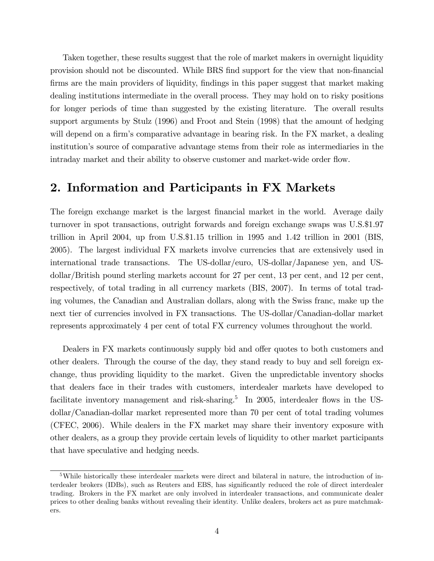Taken together, these results suggest that the role of market makers in overnight liquidity provision should not be discounted. While BRS find support for the view that non-financial firms are the main providers of liquidity, findings in this paper suggest that market making dealing institutions intermediate in the overall process. They may hold on to risky positions for longer periods of time than suggested by the existing literature. The overall results support arguments by Stulz (1996) and Froot and Stein (1998) that the amount of hedging will depend on a firm's comparative advantage in bearing risk. In the FX market, a dealing institutionís source of comparative advantage stems from their role as intermediaries in the intraday market and their ability to observe customer and market-wide order flow.

### 2. Information and Participants in FX Markets

The foreign exchange market is the largest financial market in the world. Average daily turnover in spot transactions, outright forwards and foreign exchange swaps was U.S.\$1.97 trillion in April 2004, up from U.S.\$1.15 trillion in 1995 and 1.42 trillion in 2001 (BIS, 2005). The largest individual FX markets involve currencies that are extensively used in international trade transactions. The US-dollar/euro, US-dollar/Japanese yen, and USdollar/British pound sterling markets account for 27 per cent, 13 per cent, and 12 per cent, respectively, of total trading in all currency markets (BIS, 2007). In terms of total trading volumes, the Canadian and Australian dollars, along with the Swiss franc, make up the next tier of currencies involved in FX transactions. The US-dollar/Canadian-dollar market represents approximately 4 per cent of total FX currency volumes throughout the world.

Dealers in FX markets continuously supply bid and offer quotes to both customers and other dealers. Through the course of the day, they stand ready to buy and sell foreign exchange, thus providing liquidity to the market. Given the unpredictable inventory shocks that dealers face in their trades with customers, interdealer markets have developed to facilitate inventory management and risk-sharing.<sup>5</sup> In 2005, interdealer flows in the USdollar/Canadian-dollar market represented more than 70 per cent of total trading volumes (CFEC, 2006). While dealers in the FX market may share their inventory exposure with other dealers, as a group they provide certain levels of liquidity to other market participants that have speculative and hedging needs.

<sup>5</sup>While historically these interdealer markets were direct and bilateral in nature, the introduction of interdealer brokers (IDBs), such as Reuters and EBS, has significantly reduced the role of direct interdealer trading. Brokers in the FX market are only involved in interdealer transactions, and communicate dealer prices to other dealing banks without revealing their identity. Unlike dealers, brokers act as pure matchmakers.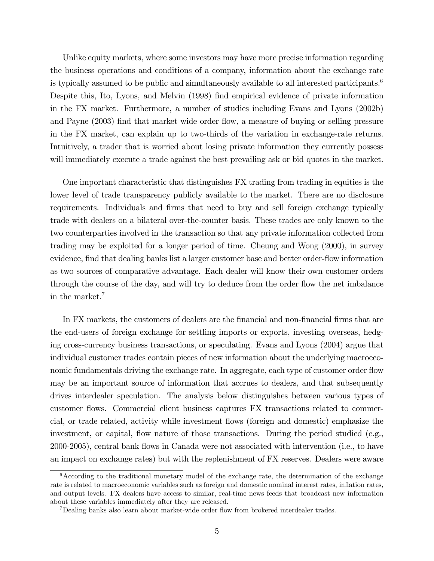Unlike equity markets, where some investors may have more precise information regarding the business operations and conditions of a company, information about the exchange rate is typically assumed to be public and simultaneously available to all interested participants.<sup>6</sup> Despite this, Ito, Lyons, and Melvin (1998) Önd empirical evidence of private information in the FX market. Furthermore, a number of studies including Evans and Lyons (2002b) and Payne (2003) find that market wide order flow, a measure of buying or selling pressure in the FX market, can explain up to two-thirds of the variation in exchange-rate returns. Intuitively, a trader that is worried about losing private information they currently possess will immediately execute a trade against the best prevailing ask or bid quotes in the market.

One important characteristic that distinguishes FX trading from trading in equities is the lower level of trade transparency publicly available to the market. There are no disclosure requirements. Individuals and firms that need to buy and sell foreign exchange typically trade with dealers on a bilateral over-the-counter basis. These trades are only known to the two counterparties involved in the transaction so that any private information collected from trading may be exploited for a longer period of time. Cheung and Wong (2000), in survey evidence, find that dealing banks list a larger customer base and better order-flow information as two sources of comparative advantage. Each dealer will know their own customer orders through the course of the day, and will try to deduce from the order flow the net imbalance in the market.<sup>7</sup>

In FX markets, the customers of dealers are the financial and non-financial firms that are the end-users of foreign exchange for settling imports or exports, investing overseas, hedging cross-currency business transactions, or speculating. Evans and Lyons (2004) argue that individual customer trades contain pieces of new information about the underlying macroeconomic fundamentals driving the exchange rate. In aggregate, each type of customer order flow may be an important source of information that accrues to dealers, and that subsequently drives interdealer speculation. The analysis below distinguishes between various types of customer flows. Commercial client business captures FX transactions related to commercial, or trade related, activity while investment áows (foreign and domestic) emphasize the investment, or capital, flow nature of those transactions. During the period studied (e.g., 2000-2005), central bank flows in Canada were not associated with intervention (i.e., to have an impact on exchange rates) but with the replenishment of FX reserves. Dealers were aware

<sup>6</sup>According to the traditional monetary model of the exchange rate, the determination of the exchange rate is related to macroeconomic variables such as foreign and domestic nominal interest rates, ináation rates, and output levels. FX dealers have access to similar, real-time news feeds that broadcast new information about these variables immediately after they are released.

<sup>&</sup>lt;sup>7</sup>Dealing banks also learn about market-wide order flow from brokered interdealer trades.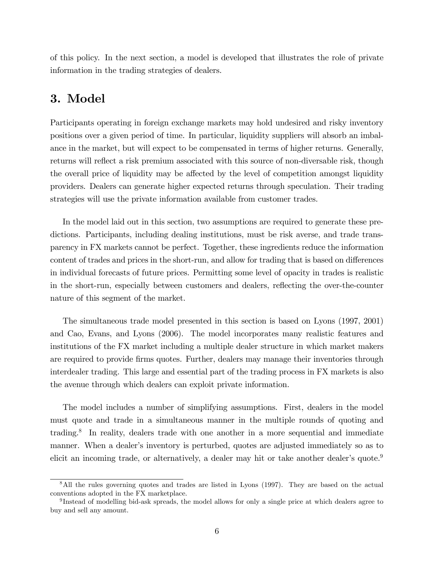of this policy. In the next section, a model is developed that illustrates the role of private information in the trading strategies of dealers.

### 3. Model

Participants operating in foreign exchange markets may hold undesired and risky inventory positions over a given period of time. In particular, liquidity suppliers will absorb an imbalance in the market, but will expect to be compensated in terms of higher returns. Generally, returns will reflect a risk premium associated with this source of non-diversable risk, though the overall price of liquidity may be affected by the level of competition amongst liquidity providers. Dealers can generate higher expected returns through speculation. Their trading strategies will use the private information available from customer trades.

In the model laid out in this section, two assumptions are required to generate these predictions. Participants, including dealing institutions, must be risk averse, and trade transparency in FX markets cannot be perfect. Together, these ingredients reduce the information content of trades and prices in the short-run, and allow for trading that is based on differences in individual forecasts of future prices. Permitting some level of opacity in trades is realistic in the short-run, especially between customers and dealers, reflecting the over-the-counter nature of this segment of the market.

The simultaneous trade model presented in this section is based on Lyons (1997, 2001) and Cao, Evans, and Lyons (2006). The model incorporates many realistic features and institutions of the FX market including a multiple dealer structure in which market makers are required to provide Örms quotes. Further, dealers may manage their inventories through interdealer trading. This large and essential part of the trading process in FX markets is also the avenue through which dealers can exploit private information.

The model includes a number of simplifying assumptions. First, dealers in the model must quote and trade in a simultaneous manner in the multiple rounds of quoting and trading.<sup>8</sup> In reality, dealers trade with one another in a more sequential and immediate manner. When a dealer's inventory is perturbed, quotes are adjusted immediately so as to elicit an incoming trade, or alternatively, a dealer may hit or take another dealer's quote.<sup>9</sup>

<sup>&</sup>lt;sup>8</sup>All the rules governing quotes and trades are listed in Lyons (1997). They are based on the actual conventions adopted in the FX marketplace.

<sup>&</sup>lt;sup>9</sup>Instead of modelling bid-ask spreads, the model allows for only a single price at which dealers agree to buy and sell any amount.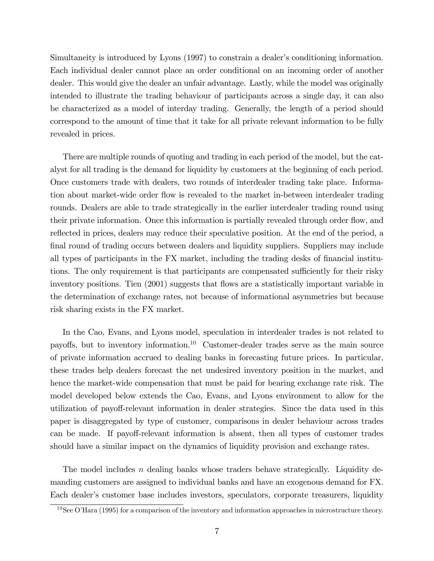Simultaneity is introduced by Lyons (1997) to constrain a dealer's conditioning information. Each individual dealer cannot place an order conditional on an incoming order of another dealer. This would give the dealer an unfair advantage. Lastly, while the model was originally intended to illustrate the trading behaviour of participants across a single day, it can also be characterized as a model of interday trading. Generally, the length of a period should correspond to the amount of time that it take for all private relevant information to be fully revealed in prices.

There are multiple rounds of quoting and trading in each period of the model, but the catalyst for all trading is the demand for liquidity by customers at the beginning of each period. Once customers trade with dealers, two rounds of interdealer trading take place. Information about market-wide order flow is revealed to the market in-between interdealer trading rounds. Dealers are able to trade strategically in the earlier interdealer trading round using their private information. Once this information is partially revealed through order flow, and reflected in prices, dealers may reduce their speculative position. At the end of the period, a final round of trading occurs between dealers and liquidity suppliers. Suppliers may include all types of participants in the FX market, including the trading desks of financial institutions. The only requirement is that participants are compensated sufficiently for their risky inventory positions. Tien (2001) suggests that flows are a statistically important variable in the determination of exchange rates, not because of informational asymmetries but because risk sharing exists in the FX market.

In the Cao, Evans, and Lyons model, speculation in interdealer trades is not related to payoffs, but to inventory information.<sup>10</sup> Customer-dealer trades serve as the main source of private information accrued to dealing banks in forecasting future prices. In particular, these trades help dealers forecast the net undesired inventory position in the market, and hence the market-wide compensation that must be paid for bearing exchange rate risk. The model developed below extends the Cao, Evans, and Lyons environment to allow for the utilization of payoff-relevant information in dealer strategies. Since the data used in this paper is disaggregated by type of customer, comparisons in dealer behaviour across trades can be made. If payoff-relevant information is absent, then all types of customer trades should have a similar impact on the dynamics of liquidity provision and exchange rates.

The model includes *n* dealing banks whose traders behave strategically. Liquidity demanding customers are assigned to individual banks and have an exogenous demand for FX. Each dealer's customer base includes investors, speculators, corporate treasurers, liquidity

 $10$ See O'Hara (1995) for a comparison of the inventory and information approaches in microstructure theory.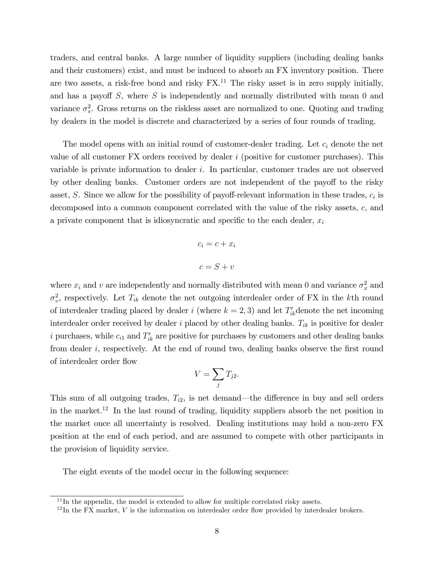traders, and central banks. A large number of liquidity suppliers (including dealing banks and their customers) exist, and must be induced to absorb an FX inventory position. There are two assets, a risk-free bond and risky  $FX<sup>11</sup>$ . The risky asset is in zero supply initially, and has a payoff  $S$ , where  $S$  is independently and normally distributed with mean 0 and variance  $\sigma_s^2$ . Gross returns on the riskless asset are normalized to one. Quoting and trading by dealers in the model is discrete and characterized by a series of four rounds of trading.

The model opens with an initial round of customer-dealer trading. Let  $c_i$  denote the net value of all customer  $FX$  orders received by dealer i (positive for customer purchases). This variable is private information to dealer i. In particular, customer trades are not observed by other dealing banks. Customer orders are not independent of the payoff to the risky asset, S. Since we allow for the possibility of payoff-relevant information in these trades,  $c_i$  is decomposed into a common component correlated with the value of the risky assets, c, and a private component that is idiosyncratic and specific to the each dealer,  $x_i$ 

$$
c_i = c + x_i
$$

$$
c = S + v
$$

where  $x_i$  and v are independently and normally distributed with mean 0 and variance  $\sigma_x^2$  and  $\sigma_v^2$ , respectively. Let  $T_{ik}$  denote the net outgoing interdealer order of FX in the kth round of interdealer trading placed by dealer i (where  $k = 2, 3$ ) and let  $T'_{ik}$  denote the net incoming interdealer order received by dealer i placed by other dealing banks.  $T_{ik}$  is positive for dealer i purchases, while  $c_{i1}$  and  $T'_{ik}$  are positive for purchases by customers and other dealing banks from dealer  $i$ , respectively. At the end of round two, dealing banks observe the first round of interdealer order áow

$$
V=\sum_j T_{j2}.
$$

This sum of all outgoing trades,  $T_{i2}$ , is net demand—the difference in buy and sell orders in the market.<sup>12</sup> In the last round of trading, liquidity suppliers absorb the net position in the market once all uncertainty is resolved. Dealing institutions may hold a non-zero FX position at the end of each period, and are assumed to compete with other participants in the provision of liquidity service.

The eight events of the model occur in the following sequence:

 $11$ In the appendix, the model is extended to allow for multiple correlated risky assets.

 $^{12}$ In the FX market, V is the information on interdealer order flow provided by interdealer brokers.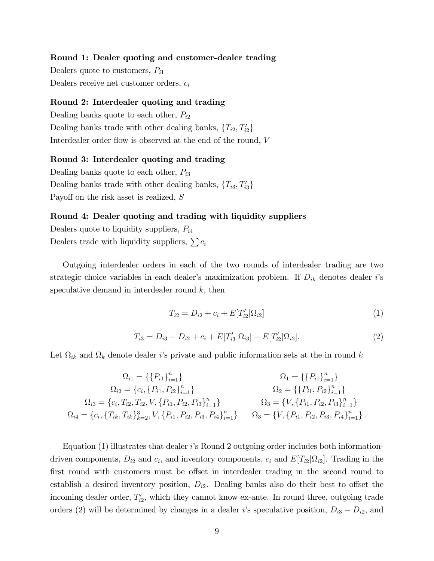#### Round 1: Dealer quoting and customer-dealer trading

Dealers quote to customers,  $P_{i1}$ Dealers receive net customer orders,  $c_i$ 

#### Round 2: Interdealer quoting and trading

Dealing banks quote to each other,  $P_{i2}$ Dealing banks trade with other dealing banks,  $\{T_{i2}, T'_{i2}\}$ Interdealer order flow is observed at the end of the round,  $V$ 

#### Round 3: Interdealer quoting and trading

Dealing banks quote to each other,  $P_{i3}$ Dealing banks trade with other dealing banks,  $\{T_{i3}, T'_{i3}\}$ Payoff on the risk asset is realized, S

#### Round 4: Dealer quoting and trading with liquidity suppliers

Dealers quote to liquidity suppliers,  $P_{i4}$ Dealers trade with liquidity suppliers,  $\sum c_i$ 

Outgoing interdealer orders in each of the two rounds of interdealer trading are two strategic choice variables in each dealer's maximization problem. If  $D_{ik}$  denotes dealer i's speculative demand in interdealer round  $k$ , then

$$
T_{i2} = D_{i2} + c_i + E[T'_{i2}|\Omega_{i2}] \tag{1}
$$

$$
T_{i3} = D_{i3} - D_{i2} + c_i + E[T'_{i3}|\Omega_{i3}] - E[T'_{i2}|\Omega_{i2}].
$$
\n(2)

Let  $\Omega_{ik}$  and  $\Omega_k$  denote dealer *i*'s private and public information sets at the in round k

$$
\Omega_{i1} = \{\{P_{i1}\}_{i=1}^{n}\}\n\Omega_{i2} = \{c_i, \{P_{i1}, P_{i2}\}_{i=1}^{n}\}\n\Omega_{i3} = \{c_i, T_{i2}, T_{i2}, V, \{P_{i1}, P_{i2}, P_{i3}\}_{i=1}^{n}\}\n\Omega_{i4} = \{c_i, \{T_{ik}, T_{ik}\}_{k=2}^{n}, V, \{P_{i1}, P_{i2}, P_{i3}, P_{i4}\}_{i=1}^{n}\}\n\Omega_{i4} = \{V, \{P_{i1}, P_{i2}, P_{i3}, P_{i4}\}_{i=1}^{n}\}\n\Omega_{i5} = \{V, \{P_{i1}, P_{i2}, P_{i3}, P_{i4}\}_{i=1}^{n}\}.
$$

Equation  $(1)$  illustrates that dealer is Round 2 outgoing order includes both informationdriven components,  $D_{i2}$  and  $c_i$ , and inventory components,  $c_i$  and  $E[T_{i2}|\Omega_{i2}]$ . Trading in the first round with customers must be offset in interdealer trading in the second round to establish a desired inventory position,  $D_{i2}$ . Dealing banks also do their best to offset the incoming dealer order,  $T'_{i2}$ , which they cannot know ex-ante. In round three, outgoing trade orders (2) will be determined by changes in a dealer i's speculative position,  $D_{i3} - D_{i2}$ , and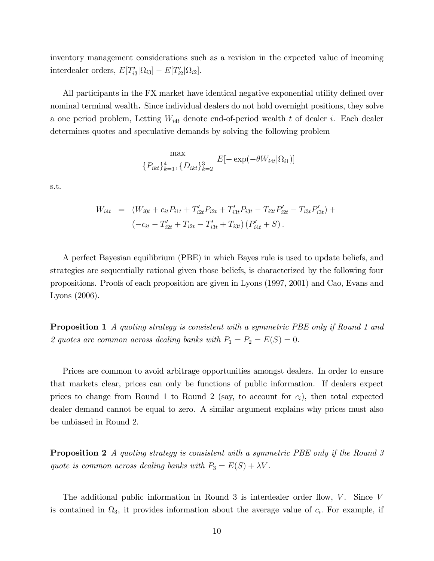inventory management considerations such as a revision in the expected value of incoming interdealer orders,  $E[T'_{i3}|\Omega_{i3}] - E[T'_{i2}|\Omega_{i2}]$ .

All participants in the FX market have identical negative exponential utility defined over nominal terminal wealth. Since individual dealers do not hold overnight positions, they solve a one period problem, Letting  $W_{i4t}$  denote end-of-period wealth t of dealer i. Each dealer determines quotes and speculative demands by solving the following problem

$$
\max_{\{P_{ikt}\}_{k=1}^4, \{D_{ikt}\}_{k=2}^3} E[-\exp(-\theta W_{i4t}|\Omega_{i1})]
$$

s.t.

$$
W_{i4t} = (W_{i0t} + c_{it}P_{i1t} + T'_{i2t}P_{i2t} + T'_{i3t}P_{i3t} - T_{i2t}P'_{i2t} - T_{i3t}P'_{i3t}) +
$$

$$
(-c_{it} - T'_{i2t} + T_{i2t} - T'_{i3t} + T_{i3t})(P'_{i4t} + S).
$$

A perfect Bayesian equilibrium (PBE) in which Bayes rule is used to update beliefs, and strategies are sequentially rational given those beliefs, is characterized by the following four propositions. Proofs of each proposition are given in Lyons (1997, 2001) and Cao, Evans and Lyons (2006).

**Proposition 1** A quoting strategy is consistent with a symmetric PBE only if Round 1 and 2 quotes are common across dealing banks with  $P_1 = P_2 = E(S) = 0$ .

Prices are common to avoid arbitrage opportunities amongst dealers. In order to ensure that markets clear, prices can only be functions of public information. If dealers expect prices to change from Round 1 to Round 2 (say, to account for  $c_i$ ), then total expected dealer demand cannot be equal to zero. A similar argument explains why prices must also be unbiased in Round 2.

**Proposition 2** A quoting strategy is consistent with a symmetric PBE only if the Round 3 quote is common across dealing banks with  $P_3 = E(S) + \lambda V$ .

The additional public information in Round 3 is interdealer order flow,  $V$ . Since V is contained in  $\Omega_3$ , it provides information about the average value of  $c_i$ . For example, if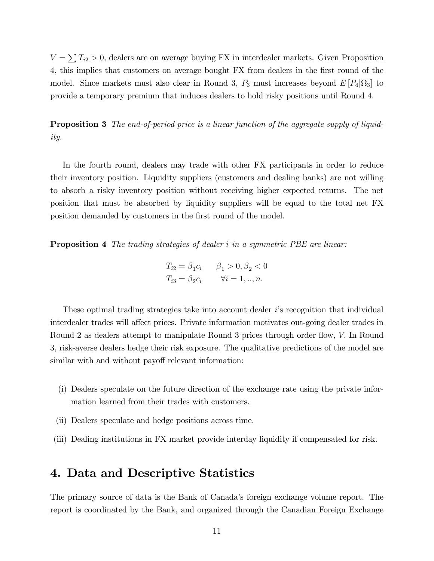$V = \sum T_{i2} > 0$ , dealers are on average buying FX in interdealer markets. Given Proposition 4, this implies that customers on average bought FX from dealers in the first round of the model. Since markets must also clear in Round 3,  $P_3$  must increases beyond  $E[P_4|\Omega_3]$  to provide a temporary premium that induces dealers to hold risky positions until Round 4.

**Proposition 3** The end-of-period price is a linear function of the aggregate supply of liquidity.

In the fourth round, dealers may trade with other FX participants in order to reduce their inventory position. Liquidity suppliers (customers and dealing banks) are not willing to absorb a risky inventory position without receiving higher expected returns. The net position that must be absorbed by liquidity suppliers will be equal to the total net FX position demanded by customers in the first round of the model.

**Proposition 4** The trading strategies of dealer i in a symmetric PBE are linear:

$$
T_{i2} = \beta_1 c_i \qquad \beta_1 > 0, \beta_2 < 0
$$
  

$$
T_{i3} = \beta_2 c_i \qquad \forall i = 1, ..., n.
$$

These optimal trading strategies take into account dealer is recognition that individual interdealer trades will affect prices. Private information motivates out-going dealer trades in Round 2 as dealers attempt to manipulate Round 3 prices through order flow, V. In Round 3, risk-averse dealers hedge their risk exposure. The qualitative predictions of the model are similar with and without payoff relevant information:

- (i) Dealers speculate on the future direction of the exchange rate using the private information learned from their trades with customers.
- (ii) Dealers speculate and hedge positions across time.
- (iii) Dealing institutions in FX market provide interday liquidity if compensated for risk.

### 4. Data and Descriptive Statistics

The primary source of data is the Bank of Canada's foreign exchange volume report. The report is coordinated by the Bank, and organized through the Canadian Foreign Exchange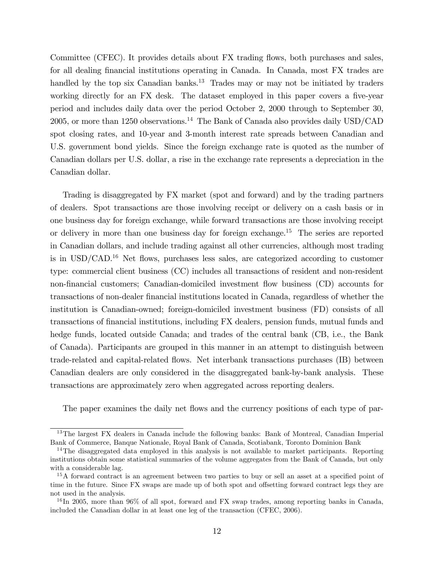Committee (CFEC). It provides details about FX trading flows, both purchases and sales, for all dealing Önancial institutions operating in Canada. In Canada, most FX trades are handled by the top six Canadian banks.<sup>13</sup> Trades may or may not be initiated by traders working directly for an FX desk. The dataset employed in this paper covers a five-year period and includes daily data over the period October 2, 2000 through to September 30, 2005, or more than 1250 observations.<sup>14</sup> The Bank of Canada also provides daily USD/CAD spot closing rates, and 10-year and 3-month interest rate spreads between Canadian and U.S. government bond yields. Since the foreign exchange rate is quoted as the number of Canadian dollars per U.S. dollar, a rise in the exchange rate represents a depreciation in the Canadian dollar.

Trading is disaggregated by FX market (spot and forward) and by the trading partners of dealers. Spot transactions are those involving receipt or delivery on a cash basis or in one business day for foreign exchange, while forward transactions are those involving receipt or delivery in more than one business day for foreign exchange.<sup>15</sup> The series are reported in Canadian dollars, and include trading against all other currencies, although most trading is in  $\text{USD}/\text{CAD}.^{16}$  Net flows, purchases less sales, are categorized according to customer type: commercial client business (CC) includes all transactions of resident and non-resident non-financial customers; Canadian-domiciled investment flow business (CD) accounts for transactions of non-dealer financial institutions located in Canada, regardless of whether the institution is Canadian-owned; foreign-domiciled investment business (FD) consists of all transactions of Önancial institutions, including FX dealers, pension funds, mutual funds and hedge funds, located outside Canada; and trades of the central bank (CB, i.e., the Bank of Canada). Participants are grouped in this manner in an attempt to distinguish between trade-related and capital-related áows. Net interbank transactions purchases (IB) between Canadian dealers are only considered in the disaggregated bank-by-bank analysis. These transactions are approximately zero when aggregated across reporting dealers.

The paper examines the daily net flows and the currency positions of each type of par-

 $13$ The largest FX dealers in Canada include the following banks: Bank of Montreal, Canadian Imperial Bank of Commerce, Banque Nationale, Royal Bank of Canada, Scotiabank, Toronto Dominion Bank

 $14$ The disaggregated data employed in this analysis is not available to market participants. Reporting institutions obtain some statistical summaries of the volume aggregates from the Bank of Canada, but only with a considerable lag.

<sup>&</sup>lt;sup>15</sup>A forward contract is an agreement between two parties to buy or sell an asset at a specified point of time in the future. Since FX swaps are made up of both spot and offsetting forward contract legs they are not used in the analysis.

<sup>&</sup>lt;sup>16</sup>In 2005, more than 96% of all spot, forward and FX swap trades, among reporting banks in Canada, included the Canadian dollar in at least one leg of the transaction (CFEC, 2006).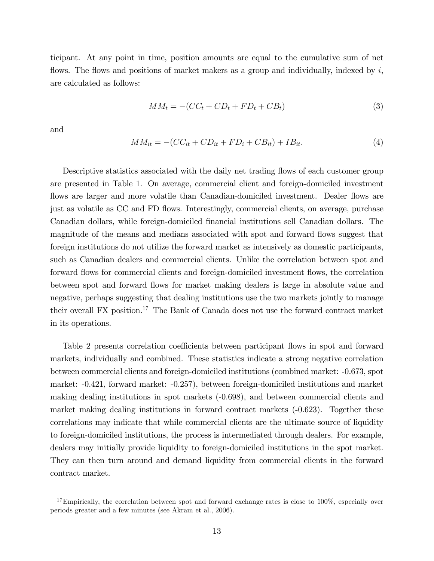ticipant. At any point in time, position amounts are equal to the cumulative sum of net flows. The flows and positions of market makers as a group and individually, indexed by  $i$ , are calculated as follows:

$$
MM_t = -(CC_t + CD_t + FD_t + CB_t)
$$
\n
$$
(3)
$$

and

$$
MM_{it} = -(CC_{it} + CD_{it} + FD_{i} + CB_{it}) + IB_{it}.
$$
\n(4)

Descriptive statistics associated with the daily net trading flows of each customer group are presented in Table 1. On average, commercial client and foreign-domiciled investment flows are larger and more volatile than Canadian-domiciled investment. Dealer flows are just as volatile as CC and FD flows. Interestingly, commercial clients, on average, purchase Canadian dollars, while foreign-domiciled Önancial institutions sell Canadian dollars. The magnitude of the means and medians associated with spot and forward flows suggest that foreign institutions do not utilize the forward market as intensively as domestic participants, such as Canadian dealers and commercial clients. Unlike the correlation between spot and forward flows for commercial clients and foreign-domiciled investment flows, the correlation between spot and forward flows for market making dealers is large in absolute value and negative, perhaps suggesting that dealing institutions use the two markets jointly to manage their overall FX position.<sup>17</sup> The Bank of Canada does not use the forward contract market in its operations.

Table 2 presents correlation coefficients between participant flows in spot and forward markets, individually and combined. These statistics indicate a strong negative correlation between commercial clients and foreign-domiciled institutions (combined market: -0.673, spot market: -0.421, forward market: -0.257), between foreign-domiciled institutions and market making dealing institutions in spot markets (-0.698), and between commercial clients and market making dealing institutions in forward contract markets (-0.623). Together these correlations may indicate that while commercial clients are the ultimate source of liquidity to foreign-domiciled institutions, the process is intermediated through dealers. For example, dealers may initially provide liquidity to foreign-domiciled institutions in the spot market. They can then turn around and demand liquidity from commercial clients in the forward contract market.

 $17$ Empirically, the correlation between spot and forward exchange rates is close to 100%, especially over periods greater and a few minutes (see Akram et al., 2006).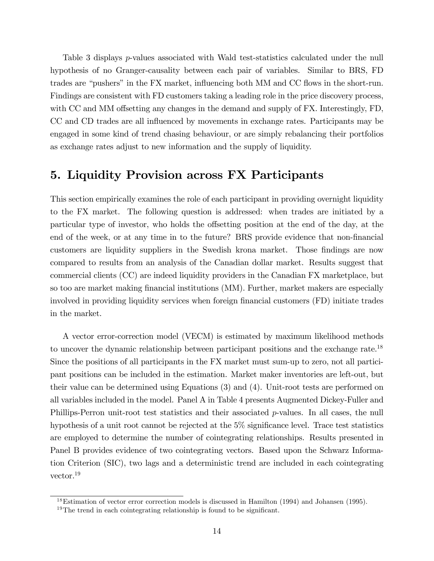Table 3 displays p-values associated with Wald test-statistics calculated under the null hypothesis of no Granger-causality between each pair of variables. Similar to BRS, FD trades are "pushers" in the FX market, influencing both MM and CC flows in the short-run. Findings are consistent with FD customers taking a leading role in the price discovery process, with  $CC$  and MM offsetting any changes in the demand and supply of  $FX$ . Interestingly,  $FD$ , CC and CD trades are all influenced by movements in exchange rates. Participants may be engaged in some kind of trend chasing behaviour, or are simply rebalancing their portfolios as exchange rates adjust to new information and the supply of liquidity.

### 5. Liquidity Provision across FX Participants

This section empirically examines the role of each participant in providing overnight liquidity to the FX market. The following question is addressed: when trades are initiated by a particular type of investor, who holds the offsetting position at the end of the day, at the end of the week, or at any time in to the future? BRS provide evidence that non-financial customers are liquidity suppliers in the Swedish krona market. Those findings are now compared to results from an analysis of the Canadian dollar market. Results suggest that commercial clients (CC) are indeed liquidity providers in the Canadian FX marketplace, but so too are market making financial institutions (MM). Further, market makers are especially involved in providing liquidity services when foreign financial customers (FD) initiate trades in the market.

A vector error-correction model (VECM) is estimated by maximum likelihood methods to uncover the dynamic relationship between participant positions and the exchange rate.<sup>18</sup> Since the positions of all participants in the FX market must sum-up to zero, not all participant positions can be included in the estimation. Market maker inventories are left-out, but their value can be determined using Equations (3) and (4). Unit-root tests are performed on all variables included in the model. Panel A in Table 4 presents Augmented Dickey-Fuller and Phillips-Perron unit-root test statistics and their associated p-values. In all cases, the null hypothesis of a unit root cannot be rejected at the  $5\%$  significance level. Trace test statistics are employed to determine the number of cointegrating relationships. Results presented in Panel B provides evidence of two cointegrating vectors. Based upon the Schwarz Information Criterion (SIC), two lags and a deterministic trend are included in each cointegrating vector.<sup>19</sup>

<sup>&</sup>lt;sup>18</sup>Estimation of vector error correction models is discussed in Hamilton (1994) and Johansen (1995).

 $19$ The trend in each cointegrating relationship is found to be significant.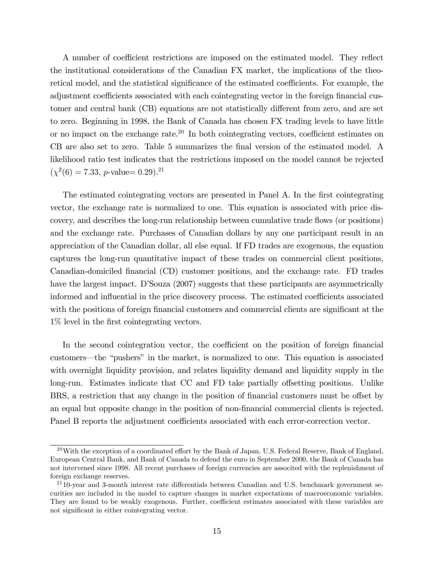A number of coefficient restrictions are imposed on the estimated model. They reflect the institutional considerations of the Canadian FX market, the implications of the theoretical model, and the statistical significance of the estimated coefficients. For example, the adjustment coefficients associated with each cointegrating vector in the foreign financial customer and central bank (CB) equations are not statistically different from zero, and are set to zero. Beginning in 1998, the Bank of Canada has chosen FX trading levels to have little or no impact on the exchange rate.<sup>20</sup> In both cointegrating vectors, coefficient estimates on CB are also set to zero. Table 5 summarizes the final version of the estimated model. A likelihood ratio test indicates that the restrictions imposed on the model cannot be rejected  $(\chi^2(6) = 7.33, p\text{-value} = 0.29).$ <sup>21</sup>

The estimated cointegrating vectors are presented in Panel A. In the first cointegrating vector, the exchange rate is normalized to one. This equation is associated with price discovery, and describes the long-run relationship between cumulative trade áows (or positions) and the exchange rate. Purchases of Canadian dollars by any one participant result in an appreciation of the Canadian dollar, all else equal. If FD trades are exogenous, the equation captures the long-run quantitative impact of these trades on commercial client positions, Canadian-domiciled Önancial (CD) customer positions, and the exchange rate. FD trades have the largest impact. D'Souza (2007) suggests that these participants are asymmetrically informed and influential in the price discovery process. The estimated coefficients associated with the positions of foreign financial customers and commercial clients are significant at the 1% level in the Örst cointegrating vectors.

In the second cointegration vector, the coefficient on the position of foreign financial customers—the "pushers" in the market, is normalized to one. This equation is associated with overnight liquidity provision, and relates liquidity demand and liquidity supply in the long-run. Estimates indicate that CC and FD take partially offsetting positions. Unlike BRS, a restriction that any change in the position of financial customers must be offset by an equal but opposite change in the position of non-financial commercial clients is rejected. Panel B reports the adjustment coefficients associated with each error-correction vector.

<sup>&</sup>lt;sup>20</sup>With the exception of a coordinated effort by the Bank of Japan, U.S. Federal Reserve, Bank of England, European Central Bank, and Bank of Canada to defend the euro in September 2000, the Bank of Canada has not intervened since 1998. All recent purchases of foreign currencies are associted with the replenishment of foreign exchange reserves.

 $2110$ -year and 3-month interest rate differentials between Canadian and U.S. benchmark government securities are included in the model to capture changes in market expectations of macroeconomic variables. They are found to be weakly exogenous. Further, coefficient estimates associated with these variables are not significant in either cointegrating vector.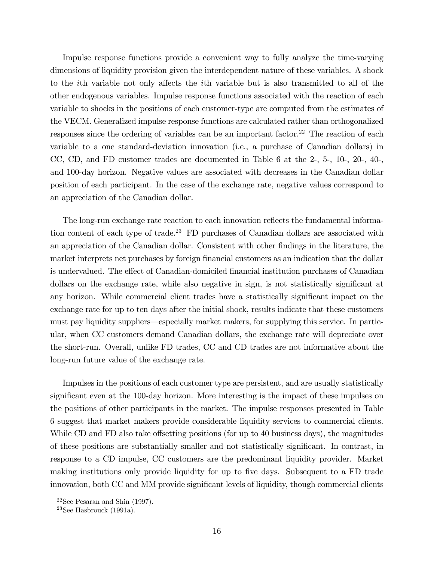Impulse response functions provide a convenient way to fully analyze the time-varying dimensions of liquidity provision given the interdependent nature of these variables. A shock to the *i*th variable not only affects the *i*th variable but is also transmitted to all of the other endogenous variables. Impulse response functions associated with the reaction of each variable to shocks in the positions of each customer-type are computed from the estimates of the VECM. Generalized impulse response functions are calculated rather than orthogonalized responses since the ordering of variables can be an important factor.<sup>22</sup> The reaction of each variable to a one standard-deviation innovation (i.e., a purchase of Canadian dollars) in CC, CD, and FD customer trades are documented in Table 6 at the 2-, 5-, 10-, 20-, 40-, and 100-day horizon. Negative values are associated with decreases in the Canadian dollar position of each participant. In the case of the exchange rate, negative values correspond to an appreciation of the Canadian dollar.

The long-run exchange rate reaction to each innovation reflects the fundamental information content of each type of trade.<sup>23</sup> FD purchases of Canadian dollars are associated with an appreciation of the Canadian dollar. Consistent with other findings in the literature, the market interprets net purchases by foreign financial customers as an indication that the dollar is undervalued. The effect of Canadian-domiciled financial institution purchases of Canadian dollars on the exchange rate, while also negative in sign, is not statistically significant at any horizon. While commercial client trades have a statistically significant impact on the exchange rate for up to ten days after the initial shock, results indicate that these customers must pay liquidity suppliers—especially market makers, for supplying this service. In particular, when CC customers demand Canadian dollars, the exchange rate will depreciate over the short-run. Overall, unlike FD trades, CC and CD trades are not informative about the long-run future value of the exchange rate.

Impulses in the positions of each customer type are persistent, and are usually statistically significant even at the 100-day horizon. More interesting is the impact of these impulses on the positions of other participants in the market. The impulse responses presented in Table 6 suggest that market makers provide considerable liquidity services to commercial clients. While CD and FD also take offsetting positions (for up to 40 business days), the magnitudes of these positions are substantially smaller and not statistically significant. In contrast, in response to a CD impulse, CC customers are the predominant liquidity provider. Market making institutions only provide liquidity for up to five days. Subsequent to a FD trade innovation, both CC and MM provide significant levels of liquidity, though commercial clients

 $22$ See Pesaran and Shin (1997).

 $23$ See Hasbrouck (1991a).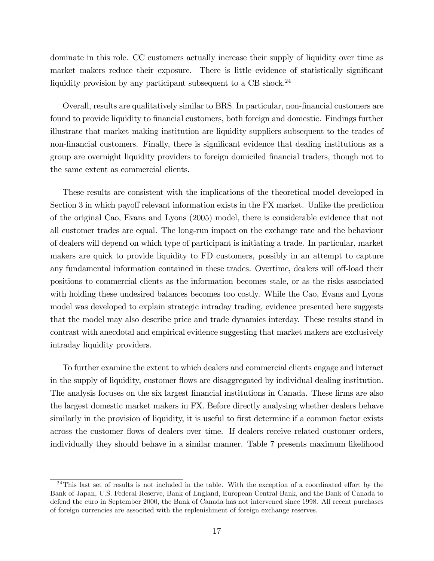dominate in this role. CC customers actually increase their supply of liquidity over time as market makers reduce their exposure. There is little evidence of statistically significant liquidity provision by any participant subsequent to a CB shock.<sup>24</sup>

Overall, results are qualitatively similar to BRS. In particular, non-Önancial customers are found to provide liquidity to financial customers, both foreign and domestic. Findings further illustrate that market making institution are liquidity suppliers subsequent to the trades of non-financial customers. Finally, there is significant evidence that dealing institutions as a group are overnight liquidity providers to foreign domiciled financial traders, though not to the same extent as commercial clients.

These results are consistent with the implications of the theoretical model developed in Section 3 in which payoff relevant information exists in the FX market. Unlike the prediction of the original Cao, Evans and Lyons (2005) model, there is considerable evidence that not all customer trades are equal. The long-run impact on the exchange rate and the behaviour of dealers will depend on which type of participant is initiating a trade. In particular, market makers are quick to provide liquidity to FD customers, possibly in an attempt to capture any fundamental information contained in these trades. Overtime, dealers will off-load their positions to commercial clients as the information becomes stale, or as the risks associated with holding these undesired balances becomes too costly. While the Cao, Evans and Lyons model was developed to explain strategic intraday trading, evidence presented here suggests that the model may also describe price and trade dynamics interday. These results stand in contrast with anecdotal and empirical evidence suggesting that market makers are exclusively intraday liquidity providers.

To further examine the extent to which dealers and commercial clients engage and interact in the supply of liquidity, customer flows are disaggregated by individual dealing institution. The analysis focuses on the six largest financial institutions in Canada. These firms are also the largest domestic market makers in FX. Before directly analysing whether dealers behave similarly in the provision of liquidity, it is useful to first determine if a common factor exists across the customer flows of dealers over time. If dealers receive related customer orders, individually they should behave in a similar manner. Table 7 presents maximum likelihood

 $^{24}$ This last set of results is not included in the table. With the exception of a coordinated effort by the Bank of Japan, U.S. Federal Reserve, Bank of England, European Central Bank, and the Bank of Canada to defend the euro in September 2000, the Bank of Canada has not intervened since 1998. All recent purchases of foreign currencies are associted with the replenishment of foreign exchange reserves.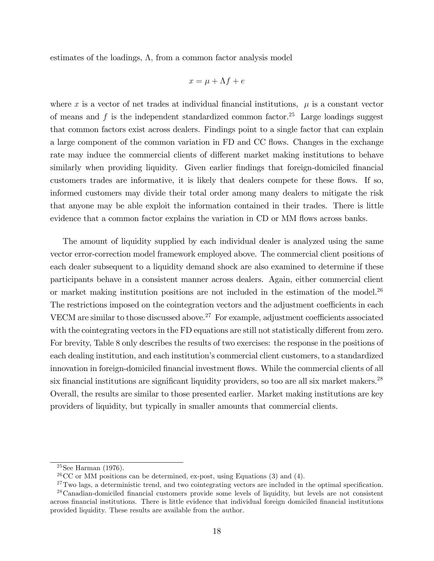estimates of the loadings,  $\Lambda$ , from a common factor analysis model

$$
x = \mu + \Lambda f + e
$$

where x is a vector of net trades at individual financial institutions,  $\mu$  is a constant vector of means and f is the independent standardized common factor.<sup>25</sup> Large loadings suggest that common factors exist across dealers. Findings point to a single factor that can explain a large component of the common variation in FD and CC flows. Changes in the exchange rate may induce the commercial clients of different market making institutions to behave similarly when providing liquidity. Given earlier findings that foreign-domiciled financial customers trades are informative, it is likely that dealers compete for these flows. If so, informed customers may divide their total order among many dealers to mitigate the risk that anyone may be able exploit the information contained in their trades. There is little evidence that a common factor explains the variation in CD or MM flows across banks.

The amount of liquidity supplied by each individual dealer is analyzed using the same vector error-correction model framework employed above. The commercial client positions of each dealer subsequent to a liquidity demand shock are also examined to determine if these participants behave in a consistent manner across dealers. Again, either commercial client or market making institution positions are not included in the estimation of the model.<sup>26</sup> The restrictions imposed on the cointegration vectors and the adjustment coefficients in each VECM are similar to those discussed above.<sup>27</sup> For example, adjustment coefficients associated with the cointegrating vectors in the FD equations are still not statistically different from zero. For brevity, Table 8 only describes the results of two exercises: the response in the positions of each dealing institution, and each institution's commercial client customers, to a standardized innovation in foreign-domiciled financial investment flows. While the commercial clients of all six financial institutions are significant liquidity providers, so too are all six market makers.<sup>28</sup> Overall, the results are similar to those presented earlier. Market making institutions are key providers of liquidity, but typically in smaller amounts that commercial clients.

<sup>25</sup>See Harman (1976).

 ${}^{26}CC$  or MM positions can be determined, ex-post, using Equations (3) and (4).

 $27$ Two lags, a deterministic trend, and two cointegrating vectors are included in the optimal specification. <sup>28</sup>Canadian-domiciled financial customers provide some levels of liquidity, but levels are not consistent

across financial institutions. There is little evidence that individual foreign domiciled financial institutions provided liquidity. These results are available from the author.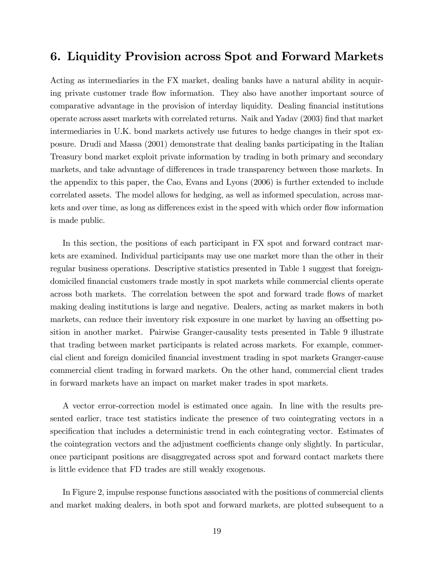### 6. Liquidity Provision across Spot and Forward Markets

Acting as intermediaries in the FX market, dealing banks have a natural ability in acquiring private customer trade áow information. They also have another important source of comparative advantage in the provision of interday liquidity. Dealing financial institutions operate across asset markets with correlated returns. Naik and Yadav (2003) Önd that market intermediaries in U.K. bond markets actively use futures to hedge changes in their spot exposure. Drudi and Massa (2001) demonstrate that dealing banks participating in the Italian Treasury bond market exploit private information by trading in both primary and secondary markets, and take advantage of differences in trade transparency between those markets. In the appendix to this paper, the Cao, Evans and Lyons (2006) is further extended to include correlated assets. The model allows for hedging, as well as informed speculation, across markets and over time, as long as differences exist in the speed with which order flow information is made public.

In this section, the positions of each participant in FX spot and forward contract markets are examined. Individual participants may use one market more than the other in their regular business operations. Descriptive statistics presented in Table 1 suggest that foreigndomiciled Önancial customers trade mostly in spot markets while commercial clients operate across both markets. The correlation between the spot and forward trade flows of market making dealing institutions is large and negative. Dealers, acting as market makers in both markets, can reduce their inventory risk exposure in one market by having an offsetting position in another market. Pairwise Granger-causality tests presented in Table 9 illustrate that trading between market participants is related across markets. For example, commercial client and foreign domiciled Önancial investment trading in spot markets Granger-cause commercial client trading in forward markets. On the other hand, commercial client trades in forward markets have an impact on market maker trades in spot markets.

A vector error-correction model is estimated once again. In line with the results presented earlier, trace test statistics indicate the presence of two cointegrating vectors in a specification that includes a deterministic trend in each cointegrating vector. Estimates of the cointegration vectors and the adjustment coefficients change only slightly. In particular, once participant positions are disaggregated across spot and forward contact markets there is little evidence that FD trades are still weakly exogenous.

In Figure 2, impulse response functions associated with the positions of commercial clients and market making dealers, in both spot and forward markets, are plotted subsequent to a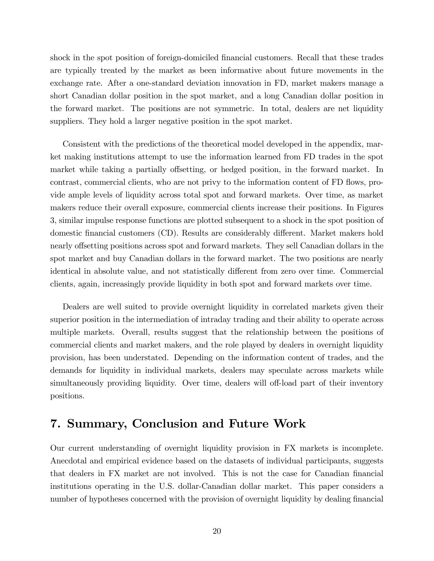shock in the spot position of foreign-domiciled financial customers. Recall that these trades are typically treated by the market as been informative about future movements in the exchange rate. After a one-standard deviation innovation in FD, market makers manage a short Canadian dollar position in the spot market, and a long Canadian dollar position in the forward market. The positions are not symmetric. In total, dealers are net liquidity suppliers. They hold a larger negative position in the spot market.

Consistent with the predictions of the theoretical model developed in the appendix, market making institutions attempt to use the information learned from FD trades in the spot market while taking a partially offsetting, or hedged position, in the forward market. In contrast, commercial clients, who are not privy to the information content of FD flows, provide ample levels of liquidity across total spot and forward markets. Over time, as market makers reduce their overall exposure, commercial clients increase their positions. In Figures 3, similar impulse response functions are plotted subsequent to a shock in the spot position of domestic financial customers (CD). Results are considerably different. Market makers hold nearly offsetting positions across spot and forward markets. They sell Canadian dollars in the spot market and buy Canadian dollars in the forward market. The two positions are nearly identical in absolute value, and not statistically different from zero over time. Commercial clients, again, increasingly provide liquidity in both spot and forward markets over time.

Dealers are well suited to provide overnight liquidity in correlated markets given their superior position in the intermediation of intraday trading and their ability to operate across multiple markets. Overall, results suggest that the relationship between the positions of commercial clients and market makers, and the role played by dealers in overnight liquidity provision, has been understated. Depending on the information content of trades, and the demands for liquidity in individual markets, dealers may speculate across markets while simultaneously providing liquidity. Over time, dealers will off-load part of their inventory positions.

### 7. Summary, Conclusion and Future Work

Our current understanding of overnight liquidity provision in FX markets is incomplete. Anecdotal and empirical evidence based on the datasets of individual participants, suggests that dealers in FX market are not involved. This is not the case for Canadian financial institutions operating in the U.S. dollar-Canadian dollar market. This paper considers a number of hypotheses concerned with the provision of overnight liquidity by dealing financial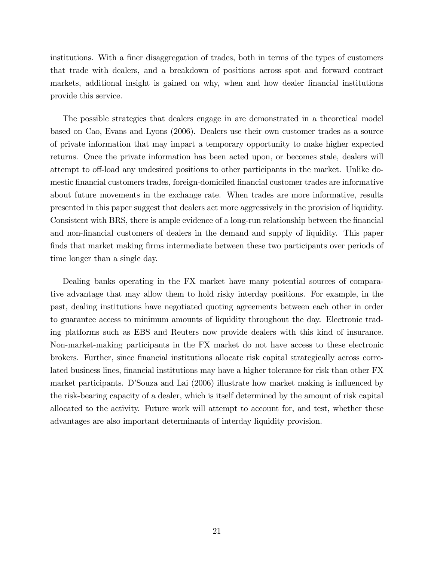institutions. With a finer disaggregation of trades, both in terms of the types of customers that trade with dealers, and a breakdown of positions across spot and forward contract markets, additional insight is gained on why, when and how dealer financial institutions provide this service.

The possible strategies that dealers engage in are demonstrated in a theoretical model based on Cao, Evans and Lyons (2006). Dealers use their own customer trades as a source of private information that may impart a temporary opportunity to make higher expected returns. Once the private information has been acted upon, or becomes stale, dealers will attempt to off-load any undesired positions to other participants in the market. Unlike domestic financial customers trades, foreign-domiciled financial customer trades are informative about future movements in the exchange rate. When trades are more informative, results presented in this paper suggest that dealers act more aggressively in the provision of liquidity. Consistent with BRS, there is ample evidence of a long-run relationship between the financial and non-Önancial customers of dealers in the demand and supply of liquidity. This paper finds that market making firms intermediate between these two participants over periods of time longer than a single day.

Dealing banks operating in the FX market have many potential sources of comparative advantage that may allow them to hold risky interday positions. For example, in the past, dealing institutions have negotiated quoting agreements between each other in order to guarantee access to minimum amounts of liquidity throughout the day. Electronic trading platforms such as EBS and Reuters now provide dealers with this kind of insurance. Non-market-making participants in the FX market do not have access to these electronic brokers. Further, since Önancial institutions allocate risk capital strategically across correlated business lines, financial institutions may have a higher tolerance for risk than other FX market participants. D'Souza and Lai (2006) illustrate how market making is influenced by the risk-bearing capacity of a dealer, which is itself determined by the amount of risk capital allocated to the activity. Future work will attempt to account for, and test, whether these advantages are also important determinants of interday liquidity provision.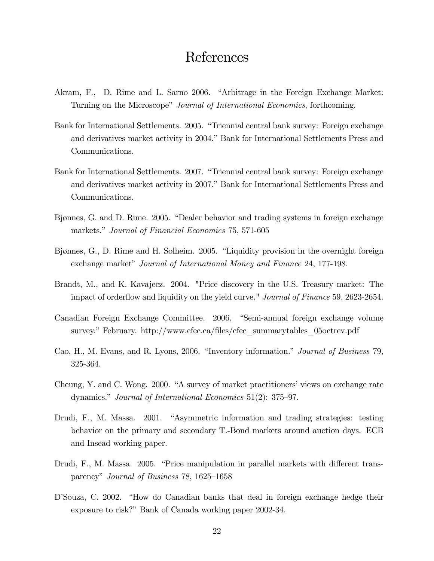### References

- Akram, F., D. Rime and L. Sarno 2006. "Arbitrage in the Foreign Exchange Market: Turning on the Microscope" Journal of International Economics, forthcoming.
- Bank for International Settlements. 2005. "Triennial central bank survey: Foreign exchange and derivatives market activity in 2004." Bank for International Settlements Press and Communications.
- Bank for International Settlements. 2007. "Triennial central bank survey: Foreign exchange and derivatives market activity in 2007." Bank for International Settlements Press and Communications.
- Bjønnes, G. and D. Rime. 2005. "Dealer behavior and trading systems in foreign exchange markets." Journal of Financial Economics 75, 571-605
- Bjønnes, G., D. Rime and H. Solheim. 2005. "Liquidity provision in the overnight foreign exchange market" Journal of International Money and Finance 24, 177-198.
- Brandt, M., and K. Kavajecz. 2004. "Price discovery in the U.S. Treasury market: The impact of orderflow and liquidity on the yield curve." *Journal of Finance* 59, 2623-2654.
- Canadian Foreign Exchange Committee. 2006. "Semi-annual foreign exchange volume survey." February. http://www.cfec.ca/files/cfec\_summarytables\_05octrev.pdf
- Cao, H., M. Evans, and R. Lyons, 2006. "Inventory information." Journal of Business 79, 325-364.
- Cheung, Y. and C. Wong. 2000. "A survey of market practitioners' views on exchange rate dynamics." Journal of International Economics  $51(2)$ : 375–97.
- Drudi, F., M. Massa. 2001. "Asymmetric information and trading strategies: testing behavior on the primary and secondary T.-Bond markets around auction days. ECB and Insead working paper.
- Drudi, F., M. Massa. 2005. "Price manipulation in parallel markets with different transparency" Journal of Business 78, 1625–1658
- D'Souza, C. 2002. "How do Canadian banks that deal in foreign exchange hedge their exposure to risk?" Bank of Canada working paper 2002-34.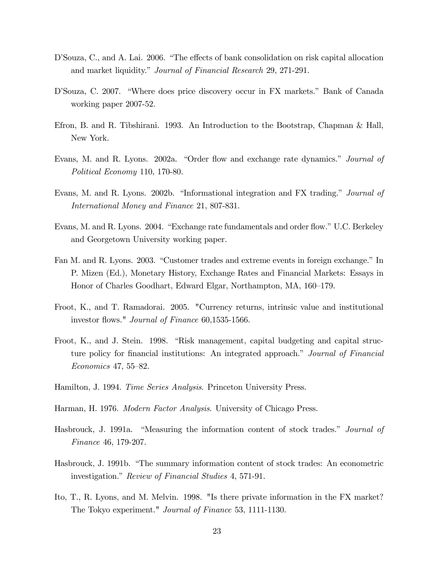- D'Souza, C., and A. Lai. 2006. "The effects of bank consolidation on risk capital allocation and market liquidity." Journal of Financial Research 29, 271-291.
- D'Souza, C. 2007. "Where does price discovery occur in FX markets." Bank of Canada working paper 2007-52.
- Efron, B. and R. Tibshirani. 1993. An Introduction to the Bootstrap, Chapman & Hall, New York.
- Evans, M. and R. Lyons. 2002a. "Order flow and exchange rate dynamics." Journal of Political Economy 110, 170-80.
- Evans, M. and R. Lyons. 2002b. "Informational integration and FX trading." Journal of International Money and Finance 21, 807-831.
- Evans, M. and R. Lyons. 2004. "Exchange rate fundamentals and order flow." U.C. Berkeley and Georgetown University working paper.
- Fan M. and R. Lyons. 2003. "Customer trades and extreme events in foreign exchange." In P. Mizen (Ed.), Monetary History, Exchange Rates and Financial Markets: Essays in Honor of Charles Goodhart, Edward Elgar, Northampton, MA, 160–179.
- Froot, K., and T. Ramadorai. 2005. "Currency returns, intrinsic value and institutional investor flows." *Journal of Finance* 60,1535-1566.
- Froot, K., and J. Stein. 1998. "Risk management, capital budgeting and capital structure policy for financial institutions: An integrated approach." Journal of Financial  $Economics\ 47, 55-82.$
- Hamilton, J. 1994. Time Series Analysis. Princeton University Press.
- Harman, H. 1976. Modern Factor Analysis. University of Chicago Press.
- Hasbrouck, J. 1991a. "Measuring the information content of stock trades." Journal of Finance 46, 179-207.
- Hasbrouck, J. 1991b. "The summary information content of stock trades: An econometric investigation." Review of Financial Studies 4, 571-91.
- Ito, T., R. Lyons, and M. Melvin. 1998. "Is there private information in the FX market? The Tokyo experiment." Journal of Finance 53, 1111-1130.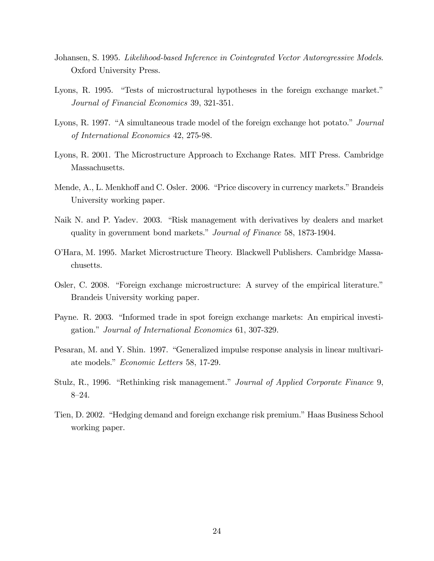- Johansen, S. 1995. Likelihood-based Inference in Cointegrated Vector Autoregressive Models. Oxford University Press.
- Lyons, R. 1995. "Tests of microstructural hypotheses in the foreign exchange market." Journal of Financial Economics 39, 321-351.
- Lyons, R. 1997. "A simultaneous trade model of the foreign exchange hot potato." Journal of International Economics 42, 275-98.
- Lyons, R. 2001. The Microstructure Approach to Exchange Rates. MIT Press. Cambridge Massachusetts.
- Mende, A., L. Menkhoff and C. Osler. 2006. "Price discovery in currency markets." Brandeis University working paper.
- Naik N. and P. Yadev. 2003. "Risk management with derivatives by dealers and market quality in government bond markets." Journal of Finance 58, 1873-1904.
- OíHara, M. 1995. Market Microstructure Theory. Blackwell Publishers. Cambridge Massachusetts.
- Osler, C. 2008. "Foreign exchange microstructure: A survey of the empirical literature." Brandeis University working paper.
- Payne. R. 2003. "Informed trade in spot foreign exchange markets: An empirical investigation." Journal of International Economics 61, 307-329.
- Pesaran, M. and Y. Shin. 1997. "Generalized impulse response analysis in linear multivariate models." Economic Letters 58, 17-29.
- Stulz, R., 1996. "Rethinking risk management." Journal of Applied Corporate Finance 9,  $8 - 24.$
- Tien, D. 2002. "Hedging demand and foreign exchange risk premium." Haas Business School working paper.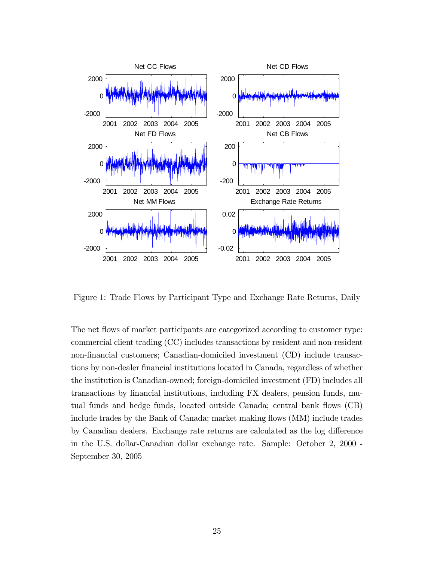

Figure 1: Trade Flows by Participant Type and Exchange Rate Returns, Daily

The net flows of market participants are categorized according to customer type: commercial client trading (CC) includes transactions by resident and non-resident non-financial customers; Canadian-domiciled investment (CD) include transactions by non-dealer financial institutions located in Canada, regardless of whether the institution is Canadian-owned; foreign-domiciled investment (FD) includes all transactions by financial institutions, including FX dealers, pension funds, mutual funds and hedge funds, located outside Canada; central bank flows (CB) include trades by the Bank of Canada; market making flows (MM) include trades by Canadian dealers. Exchange rate returns are calculated as the log difference in the U.S. dollar-Canadian dollar exchange rate. Sample: October 2, 2000 - September 30, 2005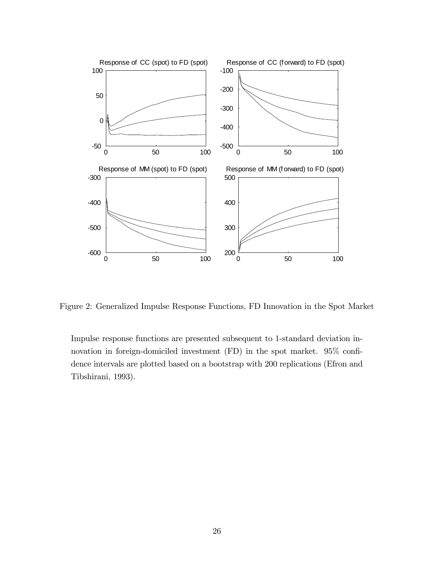

Figure 2: Generalized Impulse Response Functions, FD Innovation in the Spot Market

Impulse response functions are presented subsequent to 1-standard deviation innovation in foreign-domiciled investment  $(FD)$  in the spot market. 95% confidence intervals are plotted based on a bootstrap with 200 replications (Efron and Tibshirani, 1993).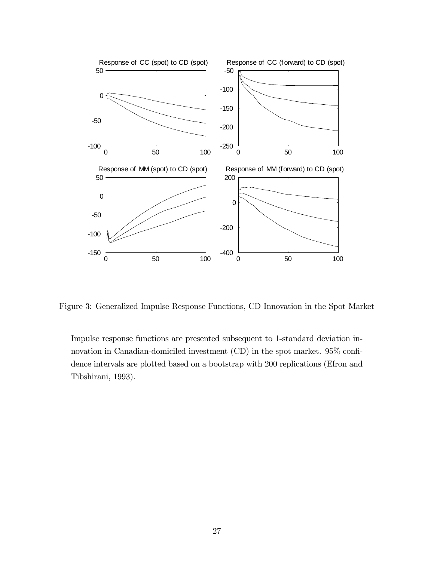

Figure 3: Generalized Impulse Response Functions, CD Innovation in the Spot Market

Impulse response functions are presented subsequent to 1-standard deviation innovation in Canadian-domiciled investment  $(CD)$  in the spot market. 95% confidence intervals are plotted based on a bootstrap with 200 replications (Efron and Tibshirani, 1993).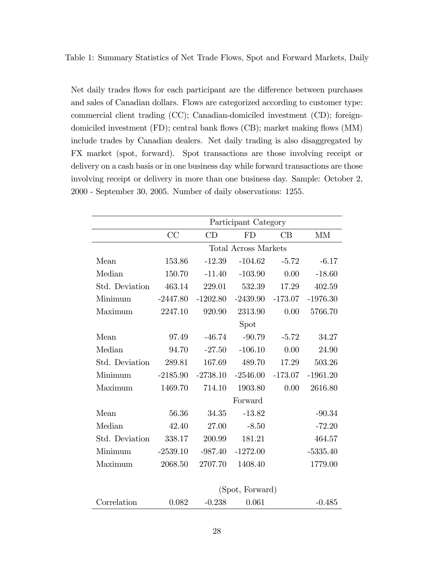Table 1: Summary Statistics of Net Trade Flows, Spot and Forward Markets, Daily

Net daily trades flows for each participant are the difference between purchases and sales of Canadian dollars. Flows are categorized according to customer type: commercial client trading (CC); Canadian-domiciled investment (CD); foreigndomiciled investment (FD); central bank flows (CB); market making flows (MM) include trades by Canadian dealers. Net daily trading is also disaggregated by FX market (spot, forward). Spot transactions are those involving receipt or delivery on a cash basis or in one business day while forward transactions are those involving receipt or delivery in more than one business day. Sample: October 2, 2000 - September 30, 2005. Number of daily observations: 1255.

| Participant Category |            |            |           |                                                                                            |  |  |  |  |
|----------------------|------------|------------|-----------|--------------------------------------------------------------------------------------------|--|--|--|--|
| CC                   | CD         | FD         | CB        | MM                                                                                         |  |  |  |  |
|                      |            |            |           |                                                                                            |  |  |  |  |
| 153.86               | $-12.39$   | $-104.62$  | $-5.72$   | $-6.17$                                                                                    |  |  |  |  |
| 150.70               | $-11.40$   | $-103.90$  | 0.00      | $-18.60$                                                                                   |  |  |  |  |
| 463.14               | 229.01     | 532.39     | 17.29     | 402.59                                                                                     |  |  |  |  |
| $-2447.80$           | $-1202.80$ | $-2439.90$ | $-173.07$ | $-1976.30$                                                                                 |  |  |  |  |
| 2247.10              | 920.90     | 2313.90    | 0.00      | 5766.70                                                                                    |  |  |  |  |
|                      |            | Spot       |           |                                                                                            |  |  |  |  |
| 97.49                | $-46.74$   | $-90.79$   | $-5.72$   | 34.27                                                                                      |  |  |  |  |
| 94.70                | $-27.50$   | $-106.10$  | 0.00      | 24.90                                                                                      |  |  |  |  |
| 289.81               | 167.69     | 489.70     | 17.29     | 503.26                                                                                     |  |  |  |  |
| $-2185.90$           | $-2738.10$ | $-2546.00$ | $-173.07$ | $-1961.20$                                                                                 |  |  |  |  |
| 1469.70              | 714.10     | 1903.80    | 0.00      | 2616.80                                                                                    |  |  |  |  |
|                      |            | Forward    |           |                                                                                            |  |  |  |  |
| 56.36                | 34.35      | $-13.82$   |           | $-90.34$                                                                                   |  |  |  |  |
| 42.40                | 27.00      | $-8.50$    |           | $-72.20$                                                                                   |  |  |  |  |
| 338.17               | 200.99     | 181.21     |           | 464.57                                                                                     |  |  |  |  |
| $-2539.10$           | $-987.40$  | $-1272.00$ |           | $-5335.40$                                                                                 |  |  |  |  |
| 2068.50              | 2707.70    | 1408.40    |           | 1779.00                                                                                    |  |  |  |  |
|                      |            |            |           |                                                                                            |  |  |  |  |
|                      |            |            |           | <b>Total Across Markets</b><br>$(\mathcal{C}_{\mathbf{not}} \mathcal{L}_{\mathbf{lower}})$ |  |  |  |  |

| Correlation<br>0.082<br>$-0.238$<br>- 0.061 |          |
|---------------------------------------------|----------|
|                                             | $-0.485$ |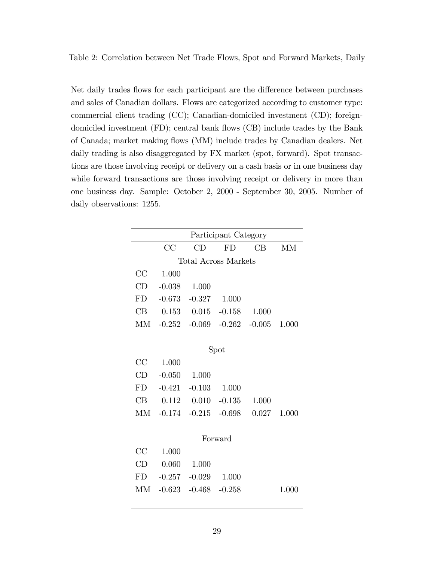Table 2: Correlation between Net Trade Flows, Spot and Forward Markets, Daily

Net daily trades flows for each participant are the difference between purchases and sales of Canadian dollars. Flows are categorized according to customer type: commercial client trading (CC); Canadian-domiciled investment (CD); foreigndomiciled investment (FD); central bank flows (CB) include trades by the Bank of Canada; market making flows (MM) include trades by Canadian dealers. Net daily trading is also disaggregated by FX market (spot, forward). Spot transactions are those involving receipt or delivery on a cash basis or in one business day while forward transactions are those involving receipt or delivery in more than one business day. Sample: October 2, 2000 - September 30, 2005. Number of daily observations: 1255.

| Participant Category |          |          |                                  |       |       |  |  |  |  |  |  |
|----------------------|----------|----------|----------------------------------|-------|-------|--|--|--|--|--|--|
|                      | CC       |          | FD                               |       | MМ    |  |  |  |  |  |  |
|                      |          |          | Total Across Markets             |       |       |  |  |  |  |  |  |
| CC                   | 1.000    |          |                                  |       |       |  |  |  |  |  |  |
| CD                   | $-0.038$ | 1.000    |                                  |       |       |  |  |  |  |  |  |
| FD                   | $-0.673$ | $-0.327$ | 1.000                            |       |       |  |  |  |  |  |  |
| CВ                   | 0.153    | 0.015    | $-0.158$                         | 1.000 |       |  |  |  |  |  |  |
| M                    |          |          | $-0.252 - 0.069 - 0.262 - 0.005$ |       | 1.000 |  |  |  |  |  |  |
|                      |          |          |                                  |       |       |  |  |  |  |  |  |

Spot

 $CA = 1.000$ 

| $UC = 1.000$                   |                                     |  |
|--------------------------------|-------------------------------------|--|
| $CD$ $-0.050$ $1.000$          |                                     |  |
| $FD$ $-0.421$ $-0.103$ $1.000$ |                                     |  |
|                                | CB $0.112$ $0.010$ $-0.135$ $1.000$ |  |
|                                | MM -0.174 -0.215 -0.698 0.027 1.000 |  |

#### Forward

| $CC$ 1.000                     |  |       |
|--------------------------------|--|-------|
| $CD$ 0.060 1.000               |  |       |
| $FD$ $-0.257$ $-0.029$ $1.000$ |  |       |
| $MM -0.623 -0.468 -0.258$      |  | 1.000 |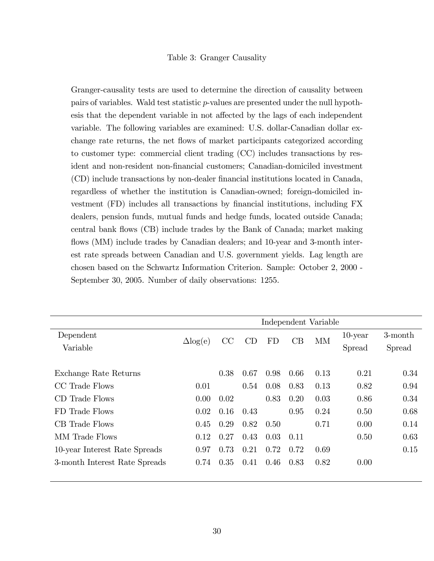#### Table 3: Granger Causality

Granger-causality tests are used to determine the direction of causality between pairs of variables. Wald test statistic p-values are presented under the null hypothesis that the dependent variable in not affected by the lags of each independent variable. The following variables are examined: U.S. dollar-Canadian dollar exchange rate returns, the net flows of market participants categorized according to customer type: commercial client trading (CC) includes transactions by resident and non-resident non-financial customers; Canadian-domiciled investment (CD) include transactions by non-dealer Önancial institutions located in Canada, regardless of whether the institution is Canadian-owned; foreign-domiciled investment (FD) includes all transactions by Önancial institutions, including FX dealers, pension funds, mutual funds and hedge funds, located outside Canada; central bank áows (CB) include trades by the Bank of Canada; market making flows (MM) include trades by Canadian dealers; and 10-year and 3-month interest rate spreads between Canadian and U.S. government yields. Lag length are chosen based on the Schwartz Information Criterion. Sample: October 2, 2000 - September 30, 2005. Number of daily observations: 1255.

|                               | Independent Variable |      |      |           |      |           |            |         |
|-------------------------------|----------------------|------|------|-----------|------|-----------|------------|---------|
| Dependent                     | $\Delta$ log(e)      | CC   | CD   | <b>FD</b> | CB   | <b>MM</b> | $10$ -year | 3-month |
| Variable                      |                      |      |      |           |      |           | Spread     | Spread  |
|                               |                      |      |      |           |      |           |            |         |
| Exchange Rate Returns         |                      | 0.38 | 0.67 | 0.98      | 0.66 | 0.13      | 0.21       | 0.34    |
| CC Trade Flows                | 0.01                 |      | 0.54 | 0.08      | 0.83 | 0.13      | 0.82       | 0.94    |
| CD Trade Flows                | 0.00                 | 0.02 |      | 0.83      | 0.20 | 0.03      | 0.86       | 0.34    |
| FD Trade Flows                | 0.02                 | 0.16 | 0.43 |           | 0.95 | 0.24      | 0.50       | 0.68    |
| CB Trade Flows                | 0.45                 | 0.29 | 0.82 | 0.50      |      | 0.71      | 0.00       | 0.14    |
| MM Trade Flows                | 0.12                 | 0.27 | 0.43 | 0.03      | 0.11 |           | 0.50       | 0.63    |
| 10-year Interest Rate Spreads | 0.97                 | 0.73 | 0.21 | 0.72      | 0.72 | 0.69      |            | 0.15    |
| 3-month Interest Rate Spreads | 0.74                 | 0.35 | 0.41 | 0.46      | 0.83 | 0.82      | 0.00       |         |
|                               |                      |      |      |           |      |           |            |         |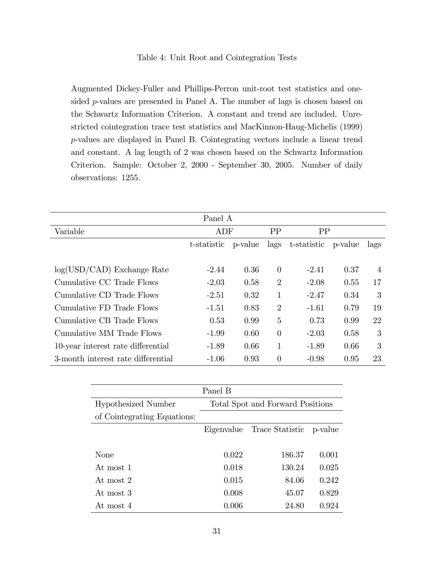Augmented Dickey-Fuller and Phillips-Perron unit-root test statistics and onesided p-values are presented in Panel A. The number of lags is chosen based on the Schwartz Information Criterion. A constant and trend are included. Unrestricted cointegration trace test statistics and MacKinnon-Haug-Michelis (1999) p-values are displayed in Panel B. Cointegrating vectors include a linear trend and constant. A lag length of 2 was chosen based on the Schwartz Information Criterion. Sample: October 2, 2000 - September 30, 2005. Number of daily observations: 1255.

| Panel A                            |                        |      |                |             |         |      |  |  |  |
|------------------------------------|------------------------|------|----------------|-------------|---------|------|--|--|--|
| Variable                           | ADF                    |      | PP             | PP          |         |      |  |  |  |
|                                    | t-statistic<br>p-value |      | lags           | t-statistic | p-value | lags |  |  |  |
|                                    |                        |      |                |             |         |      |  |  |  |
| $log(USD/CAD)$ Exchange Rate       | $-2.44$                | 0.36 | $\theta$       | $-2.41$     | 0.37    | 4    |  |  |  |
| Cumulative CC Trade Flows          | $-2.03$                | 0.58 | $\overline{2}$ | $-2.08$     | 0.55    | 17   |  |  |  |
| Cumulative CD Trade Flows          | $-2.51$                | 0.32 | 1              | $-2.47$     | 0.34    | 3    |  |  |  |
| Cumulative FD Trade Flows          | $-1.51$                | 0.83 | $\overline{2}$ | -1.61       | 0.79    | 19   |  |  |  |
| Cumulative CB Trade Flows          | 0.53                   | 0.99 | 5              | 0.73        | 0.99    | 22   |  |  |  |
| Cumulative MM Trade Flows          | $-1.99$                | 0.60 | $\theta$       | $-2.03$     | 0.58    | 3    |  |  |  |
| 10-year interest rate differential | $-1.89$                | 0.66 | 1              | -1.89       | 0.66    | 3    |  |  |  |
| 3-month interest rate differential | $-1.06$                | 0.93 | $\overline{0}$ | $-0.98$     | 0.95    | 23   |  |  |  |

|                             | Panel B                          |                         |       |  |  |  |  |  |
|-----------------------------|----------------------------------|-------------------------|-------|--|--|--|--|--|
| Hypothesized Number         | Total Spot and Forward Positions |                         |       |  |  |  |  |  |
| of Cointegrating Equations: |                                  |                         |       |  |  |  |  |  |
|                             | Eigenvalue                       | Trace Statistic p-value |       |  |  |  |  |  |
|                             |                                  |                         |       |  |  |  |  |  |
| None                        | 0.022                            | 186.37                  | 0.001 |  |  |  |  |  |
| At most 1                   | 0.018                            | 130.24                  | 0.025 |  |  |  |  |  |
| At most 2                   | 0.015                            | 84.06                   | 0.242 |  |  |  |  |  |
| At most 3                   | 0.008                            | 45.07                   | 0.829 |  |  |  |  |  |
| At most 4                   | 0.006                            | 24.80                   | 0.924 |  |  |  |  |  |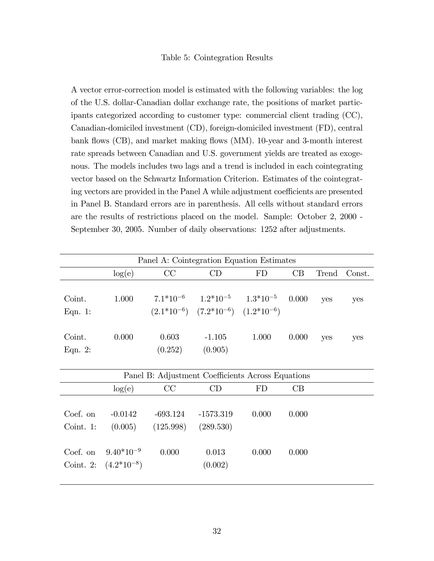#### Table 5: Cointegration Results

A vector error-correction model is estimated with the following variables: the log of the U.S. dollar-Canadian dollar exchange rate, the positions of market participants categorized according to customer type: commercial client trading (CC), Canadian-domiciled investment (CD), foreign-domiciled investment (FD), central bank flows (CB), and market making flows (MM). 10-year and 3-month interest rate spreads between Canadian and U.S. government yields are treated as exogenous. The models includes two lags and a trend is included in each cointegrating vector based on the Schwartz Information Criterion. Estimates of the cointegrating vectors are provided in the Panel A while adjustment coefficients are presented in Panel B. Standard errors are in parenthesis. All cells without standard errors are the results of restrictions placed on the model. Sample: October 2, 2000 - September 30, 2005. Number of daily observations: 1252 after adjustments.

|                                                   | Panel A: Cointegration Equation Estimates |                         |                                                                                              |       |       |       |        |  |  |  |
|---------------------------------------------------|-------------------------------------------|-------------------------|----------------------------------------------------------------------------------------------|-------|-------|-------|--------|--|--|--|
|                                                   | log(e)                                    | CC                      | CD                                                                                           | FD    | CB    | Trend | Const. |  |  |  |
| Coint.<br>Eqn. 1:                                 | 1.000                                     |                         | $7.1*10^{-6}$ $1.2*10^{-5}$ $1.3*10^{-5}$<br>$(2.1*10^{-6})$ $(7.2*10^{-6})$ $(1.2*10^{-6})$ |       | 0.000 | yes   | yes    |  |  |  |
| Coint.<br>Eqn. $2$ :                              | 0.000                                     | 0.603<br>(0.252)        | $-1.105$<br>(0.905)                                                                          | 1.000 | 0.000 | yes   | yes    |  |  |  |
| Panel B: Adjustment Coefficients Across Equations |                                           |                         |                                                                                              |       |       |       |        |  |  |  |
|                                                   | log(e)                                    | CC                      | CD                                                                                           | FD    | CB    |       |        |  |  |  |
| Coef. on<br>Coint. 1:                             | $-0.0142$<br>(0.005)                      | $-693.124$<br>(125.998) | $-1573.319$<br>(289.530)                                                                     | 0.000 | 0.000 |       |        |  |  |  |
| Coef. on<br>Coint. $2:$                           | $9.40*10^{-9}$<br>$(4.2*10^{-8})$         | 0.000                   | 0.013<br>(0.002)                                                                             | 0.000 | 0.000 |       |        |  |  |  |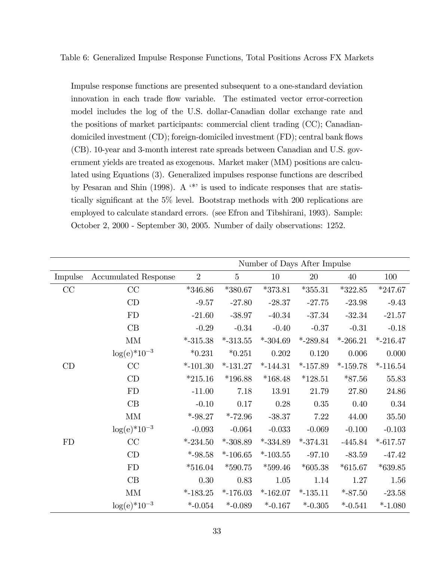Table 6: Generalized Impulse Response Functions, Total Positions Across FX Markets

Impulse response functions are presented subsequent to a one-standard deviation innovation in each trade flow variable. The estimated vector error-correction model includes the log of the U.S. dollar-Canadian dollar exchange rate and the positions of market participants: commercial client trading (CC); Canadiandomiciled investment (CD); foreign-domiciled investment (FD); central bank flows (CB). 10-year and 3-month interest rate spreads between Canadian and U.S. government yields are treated as exogenous. Market maker (MM) positions are calculated using Equations (3). Generalized impulses response functions are described by Pesaran and Shin (1998). A  $\cdot^*$  is used to indicate responses that are statistically significant at the 5% level. Bootstrap methods with 200 replications are employed to calculate standard errors. (see Efron and Tibshirani, 1993). Sample: October 2, 2000 - September 30, 2005. Number of daily observations: 1252.

|          |                             | Number of Days After Impulse |                |             |             |             |             |  |
|----------|-----------------------------|------------------------------|----------------|-------------|-------------|-------------|-------------|--|
| Impulse  | <b>Accumulated Response</b> | $\overline{2}$               | $\overline{5}$ | 10          | 20          | $40\,$      | 100         |  |
| $\rm CC$ | CC                          | $*346.86$                    | $*380.67$      | $*373.81$   | $*355.31$   | $*322.85$   | $*247.67$   |  |
|          | CD                          | $-9.57$                      | $-27.80$       | $-28.37$    | $-27.75$    | $-23.98$    | $-9.43$     |  |
|          | FD                          | $-21.60$                     | $-38.97$       | $-40.34$    | $-37.34$    | $-32.34$    | $-21.57$    |  |
|          | CB                          | $-0.29$                      | $-0.34$        | $-0.40$     | $-0.37$     | $-0.31$     | $-0.18$     |  |
|          | $\mbox{MM}$                 | $*$ -315.38                  | $*$ -313.55    | $*$ -304.69 | $*$ -289.84 | $*$ -266.21 | $*$ -216.47 |  |
|          | $log(e)*10^{-3}$            | $*0.231$                     | $*0.251$       | 0.202       | 0.120       | 0.006       | $0.000\,$   |  |
| CD       | CC                          | $*$ -101.30                  | $*$ -131.27    | $*$ -144.31 | $*-157.89$  | $*$ -159.78 | $*-116.54$  |  |
|          | CD                          | $*215.16$                    | $*196.88$      | $*168.48$   | $*128.51$   | $*87.56$    | 55.83       |  |
|          | FD                          | $-11.00$                     | 7.18           | 13.91       | 21.79       | 27.80       | 24.86       |  |
|          | $\rm CB$                    | $-0.10$                      | 0.17           | 0.28        | $0.35\,$    | 0.40        | $0.34\,$    |  |
|          | $\mbox{MM}$                 | $*$ -98.27                   | $*$ -72.96     | $-38.37$    | 7.22        | 44.00       | $35.50\,$   |  |
|          | $log(e)*10^{-3}$            | $-0.093$                     | $-0.064$       | $-0.033$    | $-0.069$    | $-0.100$    | $-0.103$    |  |
| FD       | CC                          | $*$ -234.50                  | $*$ -308.89    | $*$ -334.89 | $*$ -374.31 | $-445.84$   | $*$ -617.57 |  |
|          | CD                          | $*$ -98.58                   | $*$ -106.65    | $*$ -103.55 | $-97.10$    | $-83.59$    | $-47.42$    |  |
|          | ${\rm FD}$                  | $*516.04$                    | $*590.75$      | $*599.46$   | $*605.38$   | $*615.67$   | $*639.85$   |  |
|          | CB                          | 0.30                         | 0.83           | $1.05\,$    | 1.14        | 1.27        | 1.56        |  |
|          | $\mbox{MM}$                 | $*$ -183.25                  | $*$ -176.03    | $*-162.07$  | $*-135.11$  | $*$ -87.50  | $-23.58$    |  |
|          | $log(e)*10^{-3}$            | $*$ -0.054                   | $*$ -0.089     | $*$ -0.167  | $*$ -0.305  | $*$ -0.541  | $*$ -1.080  |  |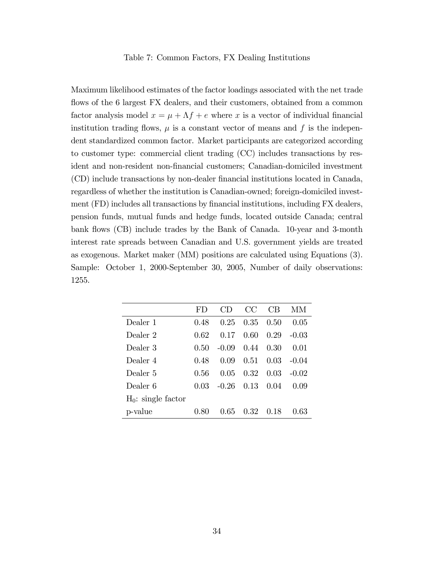#### Table 7: Common Factors, FX Dealing Institutions

Maximum likelihood estimates of the factor loadings associated with the net trade flows of the 6 largest FX dealers, and their customers, obtained from a common factor analysis model  $x = \mu + \Lambda f + e$  where x is a vector of individual financial institution trading flows,  $\mu$  is a constant vector of means and f is the independent standardized common factor. Market participants are categorized according to customer type: commercial client trading (CC) includes transactions by resident and non-resident non-financial customers; Canadian-domiciled investment (CD) include transactions by non-dealer Önancial institutions located in Canada, regardless of whether the institution is Canadian-owned; foreign-domiciled investment (FD) includes all transactions by financial institutions, including FX dealers, pension funds, mutual funds and hedge funds, located outside Canada; central bank flows (CB) include trades by the Bank of Canada. 10-year and 3-month interest rate spreads between Canadian and U.S. government yields are treated as exogenous. Market maker (MM) positions are calculated using Equations (3). Sample: October 1, 2000-September 30, 2005, Number of daily observations: 1255.

|                       | FD.  | $\left( \begin{array}{c} \cdot \\ \cdot \end{array} \right)$ | CC   | CB   | MМ      |
|-----------------------|------|--------------------------------------------------------------|------|------|---------|
| Dealer 1              | 0.48 | 0.25                                                         | 0.35 | 0.50 | 0.05    |
| Dealer 2              | 0.62 | 0.17                                                         | 0.60 | 0.29 | $-0.03$ |
| Dealer 3              | 0.50 | $-0.09$                                                      | 0.44 | 0.30 | 0.01    |
| Dealer 4              | 0.48 | 0.09                                                         | 0.51 | 0.03 | $-0.04$ |
| Dealer 5              | 0.56 | 0 05                                                         | 0.32 | 0.03 | $-0.02$ |
| Dealer 6              | 0 03 | -0.26                                                        | 0.13 | 0.04 | 0.09    |
| $H_0$ : single factor |      |                                                              |      |      |         |
| p-value               | 0.80 | 0.65                                                         | 0.32 | 0.18 | 0 63    |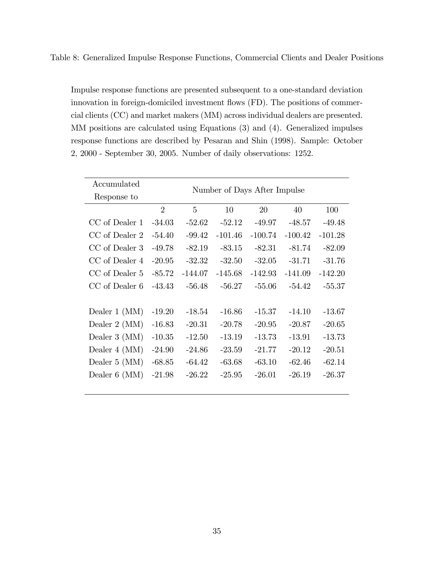Table 8: Generalized Impulse Response Functions, Commercial Clients and Dealer Positions

Impulse response functions are presented subsequent to a one-standard deviation innovation in foreign-domiciled investment flows (FD). The positions of commercial clients (CC) and market makers (MM) across individual dealers are presented. MM positions are calculated using Equations (3) and (4). Generalized impulses response functions are described by Pesaran and Shin (1998). Sample: October 2, 2000 - September 30, 2005. Number of daily observations: 1252.

| Accumulated        | Number of Days After Impulse |                |           |           |           |           |  |  |  |  |  |
|--------------------|------------------------------|----------------|-----------|-----------|-----------|-----------|--|--|--|--|--|
| Response to        |                              |                |           |           |           |           |  |  |  |  |  |
|                    | $\overline{2}$               | $\overline{5}$ | 10        | 20        | 40        | 100       |  |  |  |  |  |
| CC of Dealer 1     | $-34.03$                     | $-52.62$       | $-52.12$  | $-49.97$  | $-48.57$  | $-49.48$  |  |  |  |  |  |
| CC of Dealer 2     | $-54.40$                     | $-99.42$       | $-101.46$ | $-100.74$ | $-100.42$ | $-101.28$ |  |  |  |  |  |
| CC of Dealer 3     | $-49.78$                     | $-82.19$       | $-83.15$  | $-82.31$  | $-81.74$  | $-82.09$  |  |  |  |  |  |
| CC of Dealer 4     | $-20.95$                     | $-32.32$       | $-32.50$  | $-32.05$  | $-31.71$  | $-31.76$  |  |  |  |  |  |
| CC of Dealer 5     | $-85.72$                     | $-144.07$      | $-145.68$ | $-142.93$ | $-141.09$ | $-142.20$ |  |  |  |  |  |
| CC of Dealer 6     | $-43.43$                     | $-56.48$       | $-56.27$  | $-55.06$  | $-54.42$  | $-55.37$  |  |  |  |  |  |
|                    |                              |                |           |           |           |           |  |  |  |  |  |
| Dealer $1 \, (MM)$ | $-19.20$                     | $-18.54$       | $-16.86$  | $-15.37$  | $-14.10$  | $-13.67$  |  |  |  |  |  |
| Dealer $2 \ (MM)$  | $-16.83$                     | $-20.31$       | $-20.78$  | $-20.95$  | $-20.87$  | $-20.65$  |  |  |  |  |  |
| Dealer $3 \ (MM)$  | $-10.35$                     | $-12.50$       | $-13.19$  | $-13.73$  | $-13.91$  | $-13.73$  |  |  |  |  |  |
| Dealer $4 \ (MM)$  | $-24.90$                     | $-24.86$       | $-23.59$  | $-21.77$  | $-20.12$  | $-20.51$  |  |  |  |  |  |
| Dealer $5 \ (MM)$  | $-68.85$                     | $-64.42$       | $-63.68$  | $-63.10$  | $-62.46$  | $-62.14$  |  |  |  |  |  |
| Dealer $6 \ (MM)$  | $-21.98$                     | $-26.22$       | $-25.95$  | $-26.01$  | $-26.19$  | $-26.37$  |  |  |  |  |  |
|                    |                              |                |           |           |           |           |  |  |  |  |  |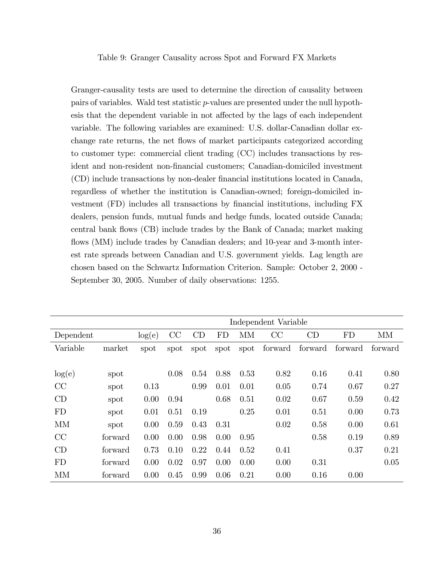#### Table 9: Granger Causality across Spot and Forward FX Markets

Granger-causality tests are used to determine the direction of causality between pairs of variables. Wald test statistic p-values are presented under the null hypothesis that the dependent variable in not affected by the lags of each independent variable. The following variables are examined: U.S. dollar-Canadian dollar exchange rate returns, the net flows of market participants categorized according to customer type: commercial client trading (CC) includes transactions by resident and non-resident non-financial customers; Canadian-domiciled investment (CD) include transactions by non-dealer Önancial institutions located in Canada, regardless of whether the institution is Canadian-owned; foreign-domiciled investment (FD) includes all transactions by Önancial institutions, including FX dealers, pension funds, mutual funds and hedge funds, located outside Canada; central bank áows (CB) include trades by the Bank of Canada; market making flows (MM) include trades by Canadian dealers; and 10-year and 3-month interest rate spreads between Canadian and U.S. government yields. Lag length are chosen based on the Schwartz Information Criterion. Sample: October 2, 2000 - September 30, 2005. Number of daily observations: 1255.

|           |         | Independent Variable |      |      |           |           |         |         |           |         |
|-----------|---------|----------------------|------|------|-----------|-----------|---------|---------|-----------|---------|
| Dependent |         | log(e)               | CC   | CD   | <b>FD</b> | <b>MM</b> | CC      | CD      | <b>FD</b> | MM      |
| Variable  | market  | spot                 | spot | spot | spot      | spot      | forward | forward | forward   | forward |
|           |         |                      |      |      |           |           |         |         |           |         |
| log(e)    | spot    |                      | 0.08 | 0.54 | 0.88      | 0.53      | 0.82    | 0.16    | 0.41      | 0.80    |
| CC        | spot    | 0.13                 |      | 0.99 | 0.01      | 0.01      | 0.05    | 0.74    | 0.67      | 0.27    |
| CD        | spot    | 0.00                 | 0.94 |      | 0.68      | 0.51      | 0.02    | 0.67    | 0.59      | 0.42    |
| FD        | spot    | 0.01                 | 0.51 | 0.19 |           | 0.25      | 0.01    | 0.51    | 0.00      | 0.73    |
| <b>MM</b> | spot    | 0.00                 | 0.59 | 0.43 | 0.31      |           | 0.02    | 0.58    | 0.00      | 0.61    |
| CC        | forward | 0.00                 | 0.00 | 0.98 | 0.00      | 0.95      |         | 0.58    | 0.19      | 0.89    |
| CD        | forward | 0.73                 | 0.10 | 0.22 | 0.44      | 0.52      | 0.41    |         | 0.37      | 0.21    |
| <b>FD</b> | forward | 0.00                 | 0.02 | 0.97 | 0.00      | 0.00      | 0.00    | 0.31    |           | 0.05    |
| MM        | forward | 0.00                 | 0.45 | 0.99 | 0.06      | 0.21      | 0.00    | 0.16    | 0.00      |         |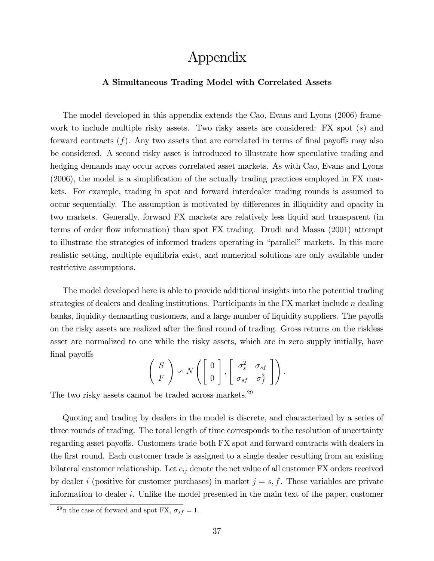## Appendix

### A Simultaneous Trading Model with Correlated Assets

The model developed in this appendix extends the Cao, Evans and Lyons (2006) framework to include multiple risky assets. Two risky assets are considered: FX spot  $(s)$  and forward contracts  $(f)$ . Any two assets that are correlated in terms of final payoffs may also be considered. A second risky asset is introduced to illustrate how speculative trading and hedging demands may occur across correlated asset markets. As with Cao, Evans and Lyons  $(2006)$ , the model is a simplification of the actually trading practices employed in FX markets. For example, trading in spot and forward interdealer trading rounds is assumed to occur sequentially. The assumption is motivated by differences in illiquidity and opacity in two markets. Generally, forward FX markets are relatively less liquid and transparent (in terms of order flow information) than spot FX trading. Drudi and Massa (2001) attempt to illustrate the strategies of informed traders operating in "parallel" markets. In this more realistic setting, multiple equilibria exist, and numerical solutions are only available under restrictive assumptions.

The model developed here is able to provide additional insights into the potential trading strategies of dealers and dealing institutions. Participants in the FX market include  $n$  dealing banks, liquidity demanding customers, and a large number of liquidity suppliers. The payoffs on the risky assets are realized after the Önal round of trading. Gross returns on the riskless asset are normalized to one while the risky assets, which are in zero supply initially, have final payoffs

$$
\left(\begin{array}{c} S \\ F \end{array}\right) \backsim N\left(\left[\begin{array}{c} 0 \\ 0 \end{array}\right], \left[\begin{array}{cc} \sigma_s^2 & \sigma_{sf} \\ \sigma_{sf} & \sigma_f^2 \end{array}\right]\right).
$$

The two risky assets cannot be traded across markets.<sup>29</sup>

Quoting and trading by dealers in the model is discrete, and characterized by a series of three rounds of trading. The total length of time corresponds to the resolution of uncertainty regarding asset payoffs. Customers trade both FX spot and forward contracts with dealers in the first round. Each customer trade is assigned to a single dealer resulting from an existing bilateral customer relationship. Let  $c_{ij}$  denote the net value of all customer FX orders received by dealer i (positive for customer purchases) in market  $j = s, f$ . These variables are private information to dealer i. Unlike the model presented in the main text of the paper, customer

<sup>&</sup>lt;sup>29</sup>n the case of forward and spot FX,  $\sigma_{sf} = 1$ .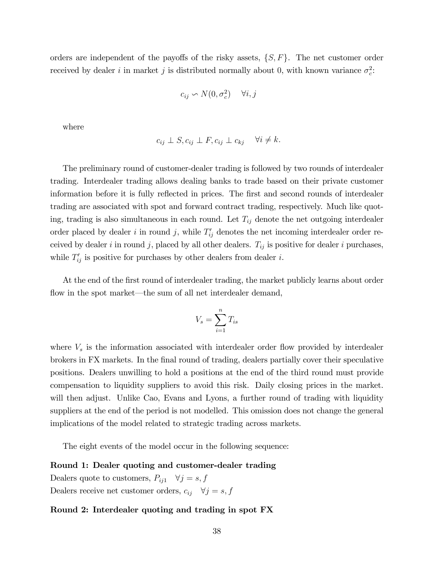orders are independent of the payoffs of the risky assets,  $\{S, F\}$ . The net customer order received by dealer i in market j is distributed normally about 0, with known variance  $\sigma_c^2$ :

$$
c_{ij} \backsim N(0, \sigma_c^2) \quad \forall i, j
$$

where

$$
c_{ij} \perp S, c_{ij} \perp F, c_{ij} \perp c_{kj} \quad \forall i \neq k.
$$

The preliminary round of customer-dealer trading is followed by two rounds of interdealer trading. Interdealer trading allows dealing banks to trade based on their private customer information before it is fully reflected in prices. The first and second rounds of interdealer trading are associated with spot and forward contract trading, respectively. Much like quoting, trading is also simultaneous in each round. Let  $T_{ij}$  denote the net outgoing interdealer order placed by dealer i in round j, while  $T'_{ij}$  denotes the net incoming interdealer order received by dealer i in round j, placed by all other dealers.  $T_{ij}$  is positive for dealer i purchases, while  $T'_{ij}$  is positive for purchases by other dealers from dealer i.

At the end of the first round of interdealer trading, the market publicly learns about order flow in the spot market—the sum of all net interdealer demand,

$$
V_s = \sum_{i=1}^{n} T_{is}
$$

where  $V<sub>s</sub>$  is the information associated with interdealer order flow provided by interdealer brokers in FX markets. In the final round of trading, dealers partially cover their speculative positions. Dealers unwilling to hold a positions at the end of the third round must provide compensation to liquidity suppliers to avoid this risk. Daily closing prices in the market. will then adjust. Unlike Cao, Evans and Lyons, a further round of trading with liquidity suppliers at the end of the period is not modelled. This omission does not change the general implications of the model related to strategic trading across markets.

The eight events of the model occur in the following sequence:

#### Round 1: Dealer quoting and customer-dealer trading

Dealers quote to customers,  $P_{ij1}$   $\forall j = s, f$ Dealers receive net customer orders,  $c_{ij}$   $\forall j = s, f$ 

### Round 2: Interdealer quoting and trading in spot FX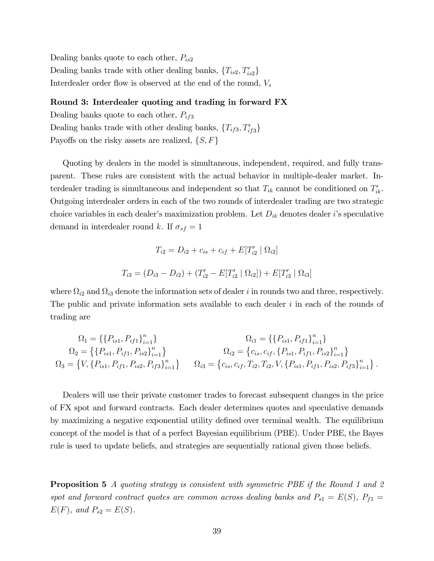Dealing banks quote to each other,  $P_{is2}$ Dealing banks trade with other dealing banks,  $\{T_{is2}, T'_{is2}\}$ Interdealer order flow is observed at the end of the round,  $V_s$ 

### Round 3: Interdealer quoting and trading in forward FX

Dealing banks quote to each other,  $P_{if3}$ Dealing banks trade with other dealing banks,  $\{T_{if3}, T'_{if3}\}$ Payoffs on the risky assets are realized,  $\{S, F\}$ 

Quoting by dealers in the model is simultaneous, independent, required, and fully transparent. These rules are consistent with the actual behavior in multiple-dealer market. Interdealer trading is simultaneous and independent so that  $T_{ik}$  cannot be conditioned on  $T'_{ik}$ . Outgoing interdealer orders in each of the two rounds of interdealer trading are two strategic choice variables in each dealer's maximization problem. Let  $D_{ik}$  denotes dealer i's speculative demand in interdealer round k. If  $\sigma_{sf} = 1$ 

$$
T_{i2} = D_{i2} + c_{is} + c_{if} + E[T'_{i2} | \Omega_{i2}]
$$
  

$$
T_{i3} = (D_{i3} - D_{i2}) + (T'_{i2} - E[T'_{i2} | \Omega_{i2}]) + E[T'_{i3} | \Omega_{i3}]
$$

where  $\Omega_{i2}$  and  $\Omega_{i3}$  denote the information sets of dealer i in rounds two and three, respectively. The public and private information sets available to each dealer i in each of the rounds of trading are

$$
\Omega_{1} = \{\{P_{is1}, P_{if1}\}_{i=1}^{n}\}\n\Omega_{2} = \{\{P_{is1}, P_{if1}, P_{is2}\}_{i=1}^{n}\}\n\Omega_{3} = \{V, \{P_{is1}, P_{if1}, P_{is2}, P_{if3}\}_{i=1}^{n}\}\n\Omega_{4} = \{c_{is}, c_{if}, T_{i2}, T_{i1}, V_{if1}, P_{is2}\}_{i=1}^{n}\}\n\Omega_{5} = \{C_{is}, C_{is}, C_{is}, C_{is}, C_{is}, C_{is}, C_{is}, P_{is1}, P_{is2}, P_{is3}\}_{i=1}^{n}\}.
$$

Dealers will use their private customer trades to forecast subsequent changes in the price of FX spot and forward contracts. Each dealer determines quotes and speculative demands by maximizing a negative exponential utility defined over terminal wealth. The equilibrium concept of the model is that of a perfect Bayesian equilibrium (PBE). Under PBE, the Bayes rule is used to update beliefs, and strategies are sequentially rational given those beliefs.

**Proposition 5** A quoting strategy is consistent with symmetric PBE if the Round 1 and 2 spot and forward contract quotes are common across dealing banks and  $P_{s1} = E(S)$ ,  $P_{f1} =$  $E(F)$ , and  $P_{s2} = E(S)$ .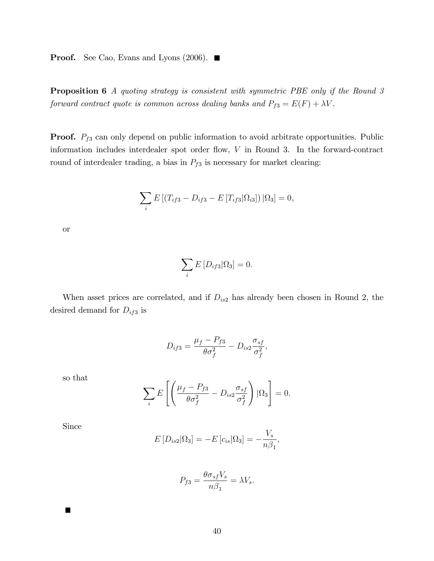**Proof.** See Cao, Evans and Lyons (2006).  $\blacksquare$ 

Proposition 6 A quoting strategy is consistent with symmetric PBE only if the Round 3 forward contract quote is common across dealing banks and  $P_{f3} = E(F) + \lambda V$ .

**Proof.**  $P_{f3}$  can only depend on public information to avoid arbitrate opportunities. Public information includes interdealer spot order flow,  $V$  in Round 3. In the forward-contract round of interdealer trading, a bias in  $P_{f3}$  is necessary for market clearing:

$$
\sum_{i} E\left[ (T_{if3} - D_{if3} - E\left[T_{if3}|\Omega_{i3}\right]) | \Omega_3 \right] = 0,
$$

or

$$
\sum_i E\left[D_{if3}|\Omega_3\right] = 0.
$$

When asset prices are correlated, and if  $D_{is2}$  has already been chosen in Round 2, the desired demand for  $D_{if3}$  is

$$
D_{if3} = \frac{\mu_f - P_{f3}}{\theta \sigma_f^2} - D_{is2} \frac{\sigma_{sf}}{\sigma_f^2},
$$

so that

$$
\sum_{i} E\left[ \left( \frac{\mu_f - P_{f3}}{\theta \sigma_f^2} - D_{is2} \frac{\sigma_{sf}}{\sigma_f^2} \right) | \Omega_3 \right] = 0.
$$

Since

$$
E[D_{is2}|\Omega_3] = -E[c_{is}|\Omega_3] = -\frac{V_s}{n\beta_1},
$$

$$
P_{f3} = \frac{\theta \sigma_{sf} V_s}{n\beta_1} = \lambda V_s.
$$